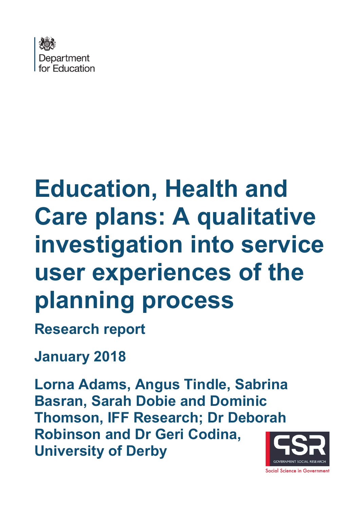

# **Education, Health and Care plans: A qualitative investigation into service user experiences of the planning process**

**Research report** 

**January 2018**

**Lorna Adams, Angus Tindle, Sabrina Basran, Sarah Dobie and Dominic Thomson, IFF Research; Dr Deborah Robinson and Dr Geri Codina, University of Derby** 

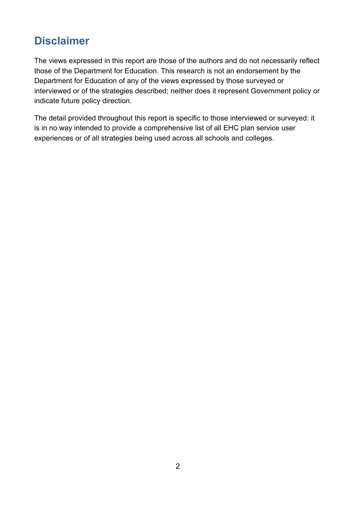# **Disclaimer**

The views expressed in this report are those of the authors and do not necessarily reflect those of the Department for Education. This research is not an endorsement by the Department for Education of any of the views expressed by those surveyed or interviewed or of the strategies described; neither does it represent Government policy or indicate future policy direction.

The detail provided throughout this report is specific to those interviewed or surveyed: it is in no way intended to provide a comprehensive list of all EHC plan service user experiences or of all strategies being used across all schools and colleges.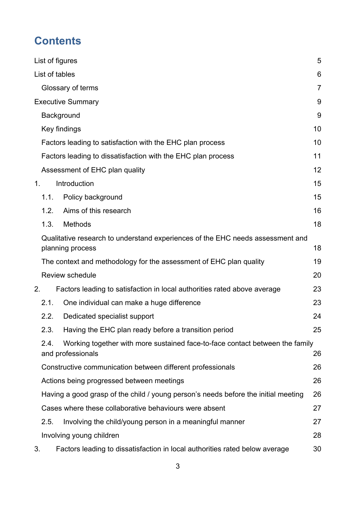# **Contents**

|                |                                                                                                           | List of figures                                                             | 5              |
|----------------|-----------------------------------------------------------------------------------------------------------|-----------------------------------------------------------------------------|----------------|
|                | List of tables                                                                                            |                                                                             | 6              |
|                |                                                                                                           | Glossary of terms                                                           | $\overline{7}$ |
|                |                                                                                                           | <b>Executive Summary</b>                                                    | 9              |
|                |                                                                                                           | Background                                                                  | 9              |
|                |                                                                                                           | Key findings                                                                | 10             |
|                |                                                                                                           | Factors leading to satisfaction with the EHC plan process                   | 10             |
|                |                                                                                                           | Factors leading to dissatisfaction with the EHC plan process                | 11             |
|                |                                                                                                           | Assessment of EHC plan quality                                              | 12             |
| 1 <sub>1</sub> |                                                                                                           | Introduction                                                                | 15             |
|                | 1.1.                                                                                                      | Policy background                                                           | 15             |
|                | 1.2.                                                                                                      | Aims of this research                                                       | 16             |
|                | 1.3.                                                                                                      | <b>Methods</b>                                                              | 18             |
|                | Qualitative research to understand experiences of the EHC needs assessment and<br>planning process        |                                                                             | 18             |
|                |                                                                                                           | The context and methodology for the assessment of EHC plan quality          | 19             |
|                |                                                                                                           | Review schedule                                                             | 20             |
| 2.             |                                                                                                           | Factors leading to satisfaction in local authorities rated above average    | 23             |
|                | 2.1.                                                                                                      | One individual can make a huge difference                                   | 23             |
|                | 2.2.                                                                                                      | Dedicated specialist support                                                | 24             |
|                | 2.3.                                                                                                      | Having the EHC plan ready before a transition period                        | 25             |
|                | Working together with more sustained face-to-face contact between the family<br>2.4.<br>and professionals |                                                                             | 26             |
|                | Constructive communication between different professionals                                                |                                                                             | 26             |
|                | Actions being progressed between meetings                                                                 |                                                                             |                |
|                | Having a good grasp of the child / young person's needs before the initial meeting                        |                                                                             |                |
|                | Cases where these collaborative behaviours were absent                                                    |                                                                             |                |
|                | 2.5.                                                                                                      | Involving the child/young person in a meaningful manner                     | 27             |
|                |                                                                                                           | Involving young children                                                    | 28             |
| 3.             |                                                                                                           | Factors leading to dissatisfaction in local authorities rated below average | 30             |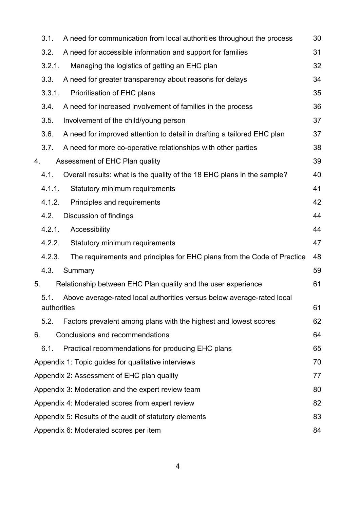|                                                                             | 3.1.                                                         | A need for communication from local authorities throughout the process  | 30 |  |  |
|-----------------------------------------------------------------------------|--------------------------------------------------------------|-------------------------------------------------------------------------|----|--|--|
| 3.2.                                                                        |                                                              | A need for accessible information and support for families              | 31 |  |  |
|                                                                             | 3.2.1.                                                       | Managing the logistics of getting an EHC plan                           | 32 |  |  |
|                                                                             | 3.3.                                                         | A need for greater transparency about reasons for delays                | 34 |  |  |
|                                                                             | 3.3.1.                                                       | Prioritisation of EHC plans                                             | 35 |  |  |
|                                                                             | 3.4.                                                         | A need for increased involvement of families in the process             | 36 |  |  |
|                                                                             | 3.5.                                                         | Involvement of the child/young person                                   | 37 |  |  |
|                                                                             | 3.6.                                                         | A need for improved attention to detail in drafting a tailored EHC plan | 37 |  |  |
|                                                                             | 3.7.                                                         | A need for more co-operative relationships with other parties           | 38 |  |  |
| 4.                                                                          |                                                              | Assessment of EHC Plan quality                                          | 39 |  |  |
|                                                                             | 4.1.                                                         | Overall results: what is the quality of the 18 EHC plans in the sample? | 40 |  |  |
|                                                                             | 4.1.1.                                                       | Statutory minimum requirements                                          | 41 |  |  |
|                                                                             | 4.1.2.                                                       | Principles and requirements                                             | 42 |  |  |
|                                                                             | 4.2.                                                         | Discussion of findings                                                  | 44 |  |  |
|                                                                             | 4.2.1.                                                       | Accessibility                                                           | 44 |  |  |
|                                                                             | 4.2.2.                                                       | Statutory minimum requirements                                          | 47 |  |  |
|                                                                             | 4.2.3.                                                       | The requirements and principles for EHC plans from the Code of Practice | 48 |  |  |
|                                                                             | 4.3.                                                         | Summary                                                                 | 59 |  |  |
| Relationship between EHC Plan quality and the user experience<br>5.<br>5.1. |                                                              |                                                                         | 61 |  |  |
|                                                                             |                                                              | Above average-rated local authorities versus below average-rated local  |    |  |  |
|                                                                             | authorities                                                  |                                                                         | 61 |  |  |
|                                                                             | 5.2.                                                         | Factors prevalent among plans with the highest and lowest scores        | 62 |  |  |
| 6.                                                                          |                                                              | Conclusions and recommendations                                         | 64 |  |  |
|                                                                             | 6.1.                                                         | Practical recommendations for producing EHC plans                       | 65 |  |  |
|                                                                             | Appendix 1: Topic guides for qualitative interviews<br>70    |                                                                         |    |  |  |
|                                                                             | Appendix 2: Assessment of EHC plan quality<br>77             |                                                                         |    |  |  |
|                                                                             | Appendix 3: Moderation and the expert review team<br>80      |                                                                         |    |  |  |
|                                                                             | Appendix 4: Moderated scores from expert review<br>82        |                                                                         |    |  |  |
|                                                                             | 83<br>Appendix 5: Results of the audit of statutory elements |                                                                         |    |  |  |
|                                                                             | Appendix 6: Moderated scores per item<br>84                  |                                                                         |    |  |  |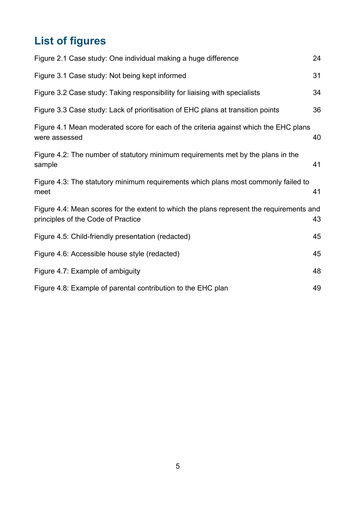# <span id="page-4-0"></span>**List of figures**

| Figure 2.1 Case study: One individual making a huge difference                                                                 | 24 |
|--------------------------------------------------------------------------------------------------------------------------------|----|
| Figure 3.1 Case study: Not being kept informed                                                                                 | 31 |
| Figure 3.2 Case study: Taking responsibility for liaising with specialists                                                     | 34 |
| Figure 3.3 Case study: Lack of prioritisation of EHC plans at transition points                                                | 36 |
| Figure 4.1 Mean moderated score for each of the criteria against which the EHC plans<br>were assessed                          | 40 |
| Figure 4.2: The number of statutory minimum requirements met by the plans in the<br>sample                                     | 41 |
| Figure 4.3: The statutory minimum requirements which plans most commonly failed to<br>meet                                     | 41 |
| Figure 4.4: Mean scores for the extent to which the plans represent the requirements and<br>principles of the Code of Practice | 43 |
| Figure 4.5: Child-friendly presentation (redacted)                                                                             | 45 |
| Figure 4.6: Accessible house style (redacted)                                                                                  | 45 |
| Figure 4.7: Example of ambiguity                                                                                               | 48 |
| Figure 4.8: Example of parental contribution to the EHC plan                                                                   | 49 |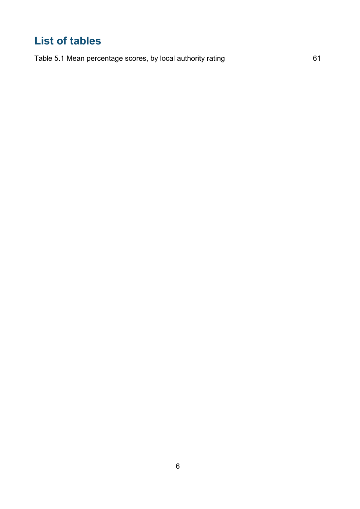# <span id="page-5-0"></span>**List of tables**

[Table 5.1 Mean percentage scores, by local authority rating](#page-60-2) 61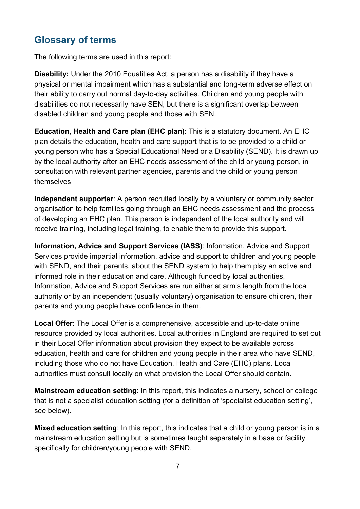# <span id="page-6-0"></span>**Glossary of terms**

The following terms are used in this report:

**Disability:** Under the 2010 Equalities Act, a person has a disability if they have a physical or mental impairment which has a substantial and long-term adverse effect on their ability to carry out normal day-to-day activities. Children and young people with disabilities do not necessarily have SEN, but there is a significant overlap between disabled children and young people and those with SEN.

**Education, Health and Care plan (EHC plan)**: This is a statutory document. An EHC plan details the education, health and care support that is to be provided to a child or young person who has a Special Educational Need or a Disability (SEND). It is drawn up by the local authority after an EHC needs assessment of the child or young person, in consultation with relevant partner agencies, parents and the child or young person themselves

**Independent supporter**: A person recruited locally by a voluntary or community sector organisation to help families going through an EHC needs assessment and the process of developing an EHC plan. This person is independent of the local authority and will receive training, including legal training, to enable them to provide this support.

**Information, Advice and Support Services (IASS)**: Information, Advice and Support Services provide impartial information, advice and support to children and young people with SEND, and their parents, about the SEND system to help them play an active and informed role in their education and care. Although funded by local authorities, Information, Advice and Support Services are run either at arm's length from the local authority or by an independent (usually voluntary) organisation to ensure children, their parents and young people have confidence in them.

**Local Offer**: The Local Offer is a comprehensive, accessible and up-to-date online resource provided by local authorities. Local authorities in England are required to set out in their Local Offer information about provision they expect to be available across education, health and care for children and young people in their area who have SEND, including those who do not have Education, Health and Care (EHC) plans. Local authorities must consult locally on what provision the Local Offer should contain.

**Mainstream education setting**: In this report, this indicates a nursery, school or college that is not a specialist education setting (for a definition of 'specialist education setting', see below).

**Mixed education setting**: In this report, this indicates that a child or young person is in a mainstream education setting but is sometimes taught separately in a base or facility specifically for children/young people with SEND.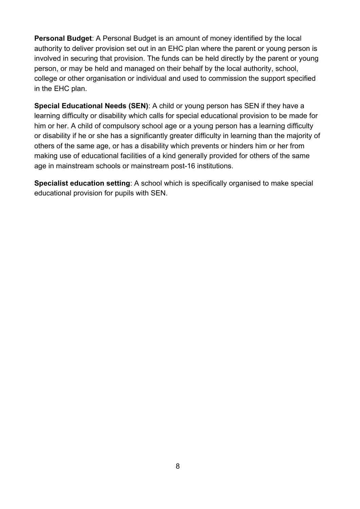**Personal Budget**: A Personal Budget is an amount of money identified by the local authority to deliver provision set out in an EHC plan where the parent or young person is involved in securing that provision. The funds can be held directly by the parent or young person, or may be held and managed on their behalf by the local authority, school, college or other organisation or individual and used to commission the support specified in the EHC plan.

**Special Educational Needs (SEN)**: A child or young person has SEN if they have a learning difficulty or disability which calls for special educational provision to be made for him or her. A child of compulsory school age or a young person has a learning difficulty or disability if he or she has a significantly greater difficulty in learning than the majority of others of the same age, or has a disability which prevents or hinders him or her from making use of educational facilities of a kind generally provided for others of the same age in mainstream schools or mainstream post-16 institutions.

**Specialist education setting**: A school which is specifically organised to make special educational provision for pupils with SEN.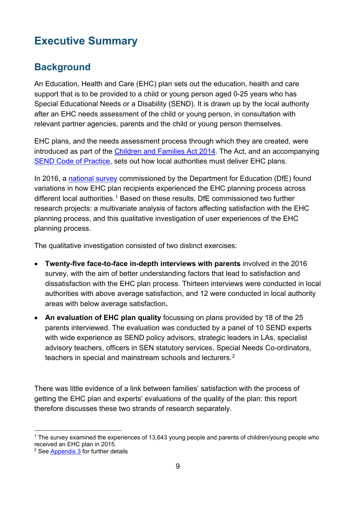# <span id="page-8-0"></span>**Executive Summary**

## <span id="page-8-1"></span>**Background**

An Education, Health and Care (EHC) plan sets out the education, health and care support that is to be provided to a child or young person aged 0-25 years who has Special Educational Needs or a Disability (SEND). It is drawn up by the local authority after an EHC needs assessment of the child or young person, in consultation with relevant partner agencies, parents and the child or young person themselves.

EHC plans, and the needs assessment process through which they are created, were introduced as part of the [Children and Families Act 2014.](http://www.legislation.gov.uk/ukpga/2014/6/contents/enacted) The Act, and an accompanying [SEND Code of Practice,](https://www.gov.uk/government/uploads/system/uploads/attachment_data/file/398815/SEND_Code_of_Practice_January_2015.pdf) sets out how local authorities must deliver EHC plans.

In 2016, a [national](https://www.gov.uk/government/uploads/system/uploads/attachment_data/file/604384/Education__health_and_care_plans_parents_and_young_people_survey.pdf) survey commissioned by the Department for Education (DfE) found variations in how EHC plan recipients experienced the EHC planning process across different local authorities.<sup>[1](#page-8-2)</sup> Based on these results, DfE commissioned two further research projects: a multivariate analysis of factors affecting satisfaction with the EHC planning process, and this qualitative investigation of user experiences of the EHC planning process.

The qualitative investigation consisted of two distinct exercises:

- **Twenty-five face-to-face in-depth interviews with parents** involved in the 2016 survey, with the aim of better understanding factors that lead to satisfaction and dissatisfaction with the EHC plan process. Thirteen interviews were conducted in local authorities with above average satisfaction, and 12 were conducted in local authority areas with below average satisfaction**.**
- **An evaluation of EHC plan quality** focussing on plans provided by 18 of the 25 parents interviewed. The evaluation was conducted by a panel of 10 SEND experts with wide experience as SEND policy advisors, strategic leaders in LAs, specialist advisory teachers, officers in SEN statutory services, Special Needs Co-ordinators, teachers in special and mainstream schools and lecturers. $^{\rm 2}$  $^{\rm 2}$  $^{\rm 2}$

There was little evidence of a link between families' satisfaction with the process of getting the EHC plan and experts' evaluations of the quality of the plan: this report therefore discusses these two strands of research separately.

<span id="page-8-2"></span> <sup>1</sup> The survey examined the experiences of 13,643 young people and parents of children/young people who received an EHC plan in 2015.

<span id="page-8-3"></span><sup>2</sup> See [Appendix 3](#page-79-0) for further details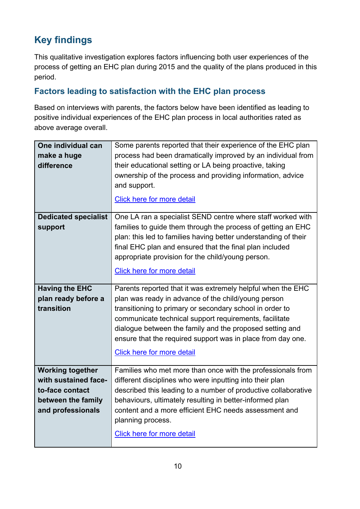# <span id="page-9-0"></span>**Key findings**

This qualitative investigation explores factors influencing both user experiences of the process of getting an EHC plan during 2015 and the quality of the plans produced in this period.

#### <span id="page-9-1"></span>**Factors leading to satisfaction with the EHC plan process**

Based on interviews with parents, the factors below have been identified as leading to positive individual experiences of the EHC plan process in local authorities rated as above average overall.

| One individual can<br>make a huge<br>difference                                                               | Some parents reported that their experience of the EHC plan<br>process had been dramatically improved by an individual from<br>their educational setting or LA being proactive, taking<br>ownership of the process and providing information, advice<br>and support.<br>Click here for more detail                                                                                                       |
|---------------------------------------------------------------------------------------------------------------|----------------------------------------------------------------------------------------------------------------------------------------------------------------------------------------------------------------------------------------------------------------------------------------------------------------------------------------------------------------------------------------------------------|
| <b>Dedicated specialist</b><br>support                                                                        | One LA ran a specialist SEND centre where staff worked with<br>families to guide them through the process of getting an EHC<br>plan: this led to families having better understanding of their<br>final EHC plan and ensured that the final plan included<br>appropriate provision for the child/young person.<br><b>Click here for more detail</b>                                                      |
| <b>Having the EHC</b><br>plan ready before a<br>transition                                                    | Parents reported that it was extremely helpful when the EHC<br>plan was ready in advance of the child/young person<br>transitioning to primary or secondary school in order to<br>communicate technical support requirements, facilitate<br>dialogue between the family and the proposed setting and<br>ensure that the required support was in place from day one.<br><b>Click here for more detail</b> |
| <b>Working together</b><br>with sustained face-<br>to-face contact<br>between the family<br>and professionals | Families who met more than once with the professionals from<br>different disciplines who were inputting into their plan<br>described this leading to a number of productive collaborative<br>behaviours, ultimately resulting in better-informed plan<br>content and a more efficient EHC needs assessment and<br>planning process.<br><b>Click here for more detail</b>                                 |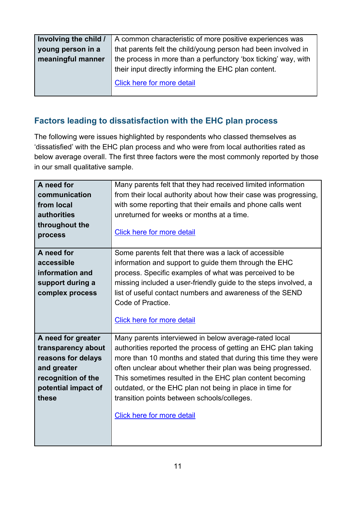| Involving the child / | A common characteristic of more positive experiences was                                                               |
|-----------------------|------------------------------------------------------------------------------------------------------------------------|
| young person in a     | that parents felt the child/young person had been involved in                                                          |
| meaningful manner     | the process in more than a perfunctory 'box ticking' way, with<br>their input directly informing the EHC plan content. |
|                       | Click here for more detail                                                                                             |

## <span id="page-10-0"></span>**Factors leading to dissatisfaction with the EHC plan process**

The following were issues highlighted by respondents who classed themselves as 'dissatisfied' with the EHC plan process and who were from local authorities rated as below average overall. The first three factors were the most commonly reported by those in our small qualitative sample.

| A need for          | Many parents felt that they had received limited information     |
|---------------------|------------------------------------------------------------------|
| communication       | from their local authority about how their case was progressing, |
| from local          | with some reporting that their emails and phone calls went       |
| <b>authorities</b>  | unreturned for weeks or months at a time.                        |
| throughout the      |                                                                  |
| process             | <b>Click here for more detail</b>                                |
|                     |                                                                  |
| A need for          | Some parents felt that there was a lack of accessible            |
| accessible          | information and support to guide them through the EHC            |
| information and     | process. Specific examples of what was perceived to be           |
| support during a    | missing included a user-friendly guide to the steps involved, a  |
| complex process     | list of useful contact numbers and awareness of the SEND         |
|                     | Code of Practice.                                                |
|                     |                                                                  |
|                     | <b>Click here for more detail</b>                                |
|                     |                                                                  |
| A need for greater  | Many parents interviewed in below average-rated local            |
| transparency about  | authorities reported the process of getting an EHC plan taking   |
| reasons for delays  | more than 10 months and stated that during this time they were   |
| and greater         | often unclear about whether their plan was being progressed.     |
| recognition of the  | This sometimes resulted in the EHC plan content becoming         |
| potential impact of | outdated, or the EHC plan not being in place in time for         |
| these               | transition points between schools/colleges.                      |
|                     | <b>Click here for more detail</b>                                |
|                     |                                                                  |
|                     |                                                                  |
|                     |                                                                  |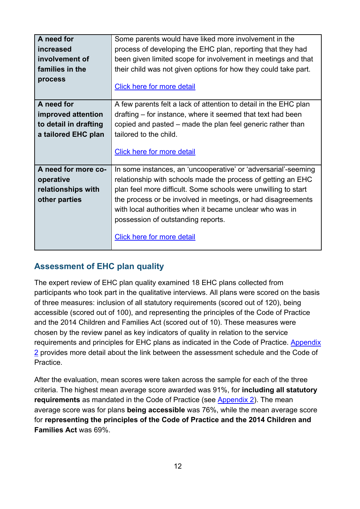| A need for            | Some parents would have liked more involvement in the            |
|-----------------------|------------------------------------------------------------------|
| increased             | process of developing the EHC plan, reporting that they had      |
| involvement of        | been given limited scope for involvement in meetings and that    |
| families in the       | their child was not given options for how they could take part.  |
| process               |                                                                  |
|                       | Click here for more detail                                       |
|                       |                                                                  |
| A need for            | A few parents felt a lack of attention to detail in the EHC plan |
| improved attention    | drafting – for instance, where it seemed that text had been      |
| to detail in drafting | copied and pasted – made the plan feel generic rather than       |
| a tailored EHC plan   | tailored to the child.                                           |
|                       |                                                                  |
|                       | <b>Click here for more detail</b>                                |
|                       |                                                                  |
|                       |                                                                  |
| A need for more co-   | In some instances, an 'uncooperative' or 'adversarial'-seeming   |
| operative             | relationship with schools made the process of getting an EHC     |
| relationships with    | plan feel more difficult. Some schools were unwilling to start   |
|                       | the process or be involved in meetings, or had disagreements     |
| other parties         |                                                                  |
|                       | with local authorities when it became unclear who was in         |
|                       | possession of outstanding reports.                               |
|                       |                                                                  |
|                       | Click here for more detail                                       |

### <span id="page-11-0"></span>**Assessment of EHC plan quality**

The expert review of EHC plan quality examined 18 EHC plans collected from participants who took part in the qualitative interviews. All plans were scored on the basis of three measures: inclusion of all statutory requirements (scored out of 120), being accessible (scored out of 100), and representing the principles of the Code of Practice and the 2014 Children and Families Act (scored out of 10). These measures were chosen by the review panel as key indicators of quality in relation to the service requirements and principles for EHC plans as indicated in the Code of Practice. [Appendix](#page-76-0)  [2](#page-76-0) provides more detail about the link between the assessment schedule and the Code of Practice.

After the evaluation, mean scores were taken across the sample for each of the three criteria. The highest mean average score awarded was 91%, for **including all statutory requirements** as mandated in the Code of Practice (see [Appendix 2\)](#page-76-0). The mean average score was for plans **being accessible** was 76%, while the mean average score for **representing the principles of the Code of Practice and the 2014 Children and Families Act** was 69%.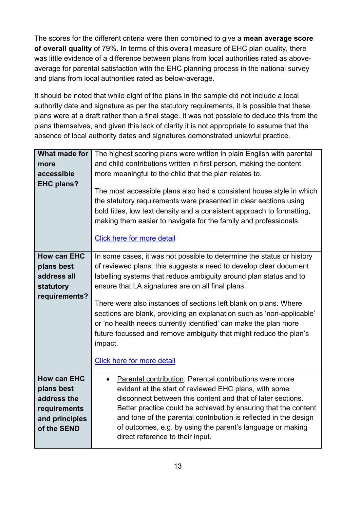The scores for the different criteria were then combined to give a **mean average score of overall quality** of 79%. In terms of this overall measure of EHC plan quality, there was little evidence of a difference between plans from local authorities rated as aboveaverage for parental satisfaction with the EHC planning process in the national survey and plans from local authorities rated as below-average.

It should be noted that while eight of the plans in the sample did not include a local authority date and signature as per the statutory requirements, it is possible that these plans were at a draft rather than a final stage. It was not possible to deduce this from the plans themselves, and given this lack of clarity it is not appropriate to assume that the absence of local authority dates and signatures demonstrated unlawful practice.

| What made for<br>more<br>accessible<br><b>EHC plans?</b>                                         | The highest scoring plans were written in plain English with parental<br>and child contributions written in first person, making the content<br>more meaningful to the child that the plan relates to.<br>The most accessible plans also had a consistent house style in which<br>the statutory requirements were presented in clear sections using<br>bold titles, low text density and a consistent approach to formatting,<br>making them easier to navigate for the family and professionals.<br>Click here for more detail                                                                     |
|--------------------------------------------------------------------------------------------------|-----------------------------------------------------------------------------------------------------------------------------------------------------------------------------------------------------------------------------------------------------------------------------------------------------------------------------------------------------------------------------------------------------------------------------------------------------------------------------------------------------------------------------------------------------------------------------------------------------|
| <b>How can EHC</b><br>plans best<br>address all<br>statutory<br>requirements?                    | In some cases, it was not possible to determine the status or history<br>of reviewed plans: this suggests a need to develop clear document<br>labelling systems that reduce ambiguity around plan status and to<br>ensure that LA signatures are on all final plans.<br>There were also instances of sections left blank on plans. Where<br>sections are blank, providing an explanation such as 'non-applicable'<br>or 'no health needs currently identified' can make the plan more<br>future focussed and remove ambiguity that might reduce the plan's<br>impact.<br>Click here for more detail |
| <b>How can EHC</b><br>plans best<br>address the<br>requirements<br>and principles<br>of the SEND | Parental contribution: Parental contributions were more<br>evident at the start of reviewed EHC plans, with some<br>disconnect between this content and that of later sections.<br>Better practice could be achieved by ensuring that the content<br>and tone of the parental contribution is reflected in the design<br>of outcomes, e.g. by using the parent's language or making<br>direct reference to their input.                                                                                                                                                                             |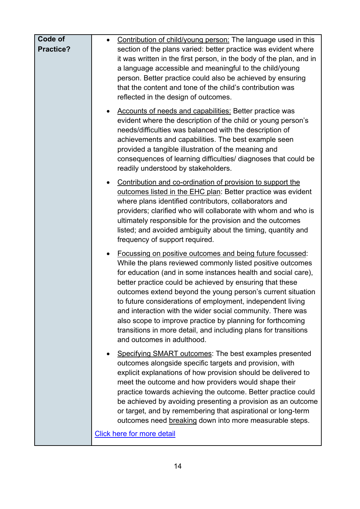| Code of   | Contribution of child/young person: The language used in this                                                                                                                                                                                                                                                                                                                                                                                                                                                                                                                                                               |
|-----------|-----------------------------------------------------------------------------------------------------------------------------------------------------------------------------------------------------------------------------------------------------------------------------------------------------------------------------------------------------------------------------------------------------------------------------------------------------------------------------------------------------------------------------------------------------------------------------------------------------------------------------|
| Practice? | section of the plans varied: better practice was evident where<br>it was written in the first person, in the body of the plan, and in<br>a language accessible and meaningful to the child/young<br>person. Better practice could also be achieved by ensuring<br>that the content and tone of the child's contribution was                                                                                                                                                                                                                                                                                                 |
|           | reflected in the design of outcomes.<br>Accounts of needs and capabilities: Better practice was<br>$\bullet$<br>evident where the description of the child or young person's<br>needs/difficulties was balanced with the description of<br>achievements and capabilities. The best example seen<br>provided a tangible illustration of the meaning and<br>consequences of learning difficulties/ diagnoses that could be<br>readily understood by stakeholders.                                                                                                                                                             |
|           | Contribution and co-ordination of provision to support the<br>outcomes listed in the EHC plan: Better practice was evident<br>where plans identified contributors, collaborators and<br>providers; clarified who will collaborate with whom and who is<br>ultimately responsible for the provision and the outcomes<br>listed; and avoided ambiguity about the timing, quantity and<br>frequency of support required.                                                                                                                                                                                                       |
|           | Focussing on positive outcomes and being future focussed:<br>$\bullet$<br>While the plans reviewed commonly listed positive outcomes<br>for education (and in some instances health and social care),<br>better practice could be achieved by ensuring that these<br>outcomes extend beyond the young person's current situation<br>to future considerations of employment, independent living<br>and interaction with the wider social community. There was<br>also scope to improve practice by planning for forthcoming<br>transitions in more detail, and including plans for transitions<br>and outcomes in adulthood. |
|           | Specifying SMART outcomes: The best examples presented<br>$\bullet$<br>outcomes alongside specific targets and provision, with<br>explicit explanations of how provision should be delivered to<br>meet the outcome and how providers would shape their<br>practice towards achieving the outcome. Better practice could<br>be achieved by avoiding presenting a provision as an outcome<br>or target, and by remembering that aspirational or long-term<br>outcomes need breaking down into more measurable steps.<br><b>Click here for more detail</b>                                                                    |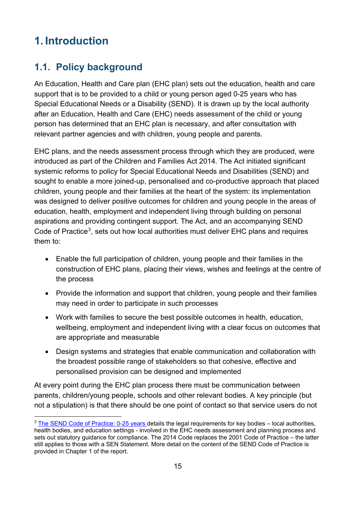# <span id="page-14-0"></span>**1. Introduction**

# <span id="page-14-1"></span>**1.1. Policy background**

An Education, Health and Care plan (EHC plan) sets out the education, health and care support that is to be provided to a child or young person aged 0-25 years who has Special Educational Needs or a Disability (SEND). It is drawn up by the local authority after an Education, Health and Care (EHC) needs assessment of the child or young person has determined that an EHC plan is necessary, and after consultation with relevant partner agencies and with children, young people and parents.

EHC plans, and the needs assessment process through which they are produced, were introduced as part of the Children and Families Act 2014. The Act initiated significant systemic reforms to policy for Special Educational Needs and Disabilities (SEND) and sought to enable a more joined-up, personalised and co-productive approach that placed children, young people and their families at the heart of the system: its implementation was designed to deliver positive outcomes for children and young people in the areas of education, health, employment and independent living through building on personal aspirations and providing contingent support. The Act, and an accompanying SEND Code of Practice<sup>[3](#page-14-2)</sup>, sets out how local authorities must deliver EHC plans and requires them to:

- Enable the full participation of children, young people and their families in the construction of EHC plans, placing their views, wishes and feelings at the centre of the process
- Provide the information and support that children, young people and their families may need in order to participate in such processes
- Work with families to secure the best possible outcomes in health, education, wellbeing, employment and independent living with a clear focus on outcomes that are appropriate and measurable
- Design systems and strategies that enable communication and collaboration with the broadest possible range of stakeholders so that cohesive, effective and personalised provision can be designed and implemented

At every point during the EHC plan process there must be communication between parents, children/young people, schools and other relevant bodies. A key principle (but not a stipulation) is that there should be one point of contact so that service users do not

<span id="page-14-2"></span><sup>&</sup>lt;sup>3</sup> [The SEND Code of Practice: 0-25 years](https://www.gov.uk/government/uploads/system/uploads/attachment_data/file/398815/SEND_Code_of_Practice_January_2015.pdf) details the legal requirements for key bodies – local authorities, health bodies, and education settings - involved in the EHC needs assessment and planning process and sets out statutory guidance for compliance. The 2014 Code replaces the 2001 Code of Practice – the latter still applies to those with a SEN Statement. More detail on the content of the SEND Code of Practice is provided in Chapter 1 of the report.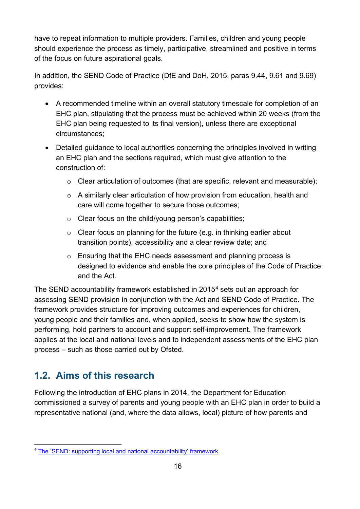have to repeat information to multiple providers. Families, children and young people should experience the process as timely, participative, streamlined and positive in terms of the focus on future aspirational goals.

In addition, the SEND Code of Practice (DfE and DoH, 2015, paras 9.44, 9.61 and 9.69) provides:

- A recommended timeline within an overall statutory timescale for completion of an EHC plan, stipulating that the process must be achieved within 20 weeks (from the EHC plan being requested to its final version), unless there are exceptional circumstances;
- Detailed guidance to local authorities concerning the principles involved in writing an EHC plan and the sections required, which must give attention to the construction of:
	- o Clear articulation of outcomes (that are specific, relevant and measurable);
	- o A similarly clear articulation of how provision from education, health and care will come together to secure those outcomes;
	- o Clear focus on the child/young person's capabilities;
	- $\circ$  Clear focus on planning for the future (e.g. in thinking earlier about transition points), accessibility and a clear review date; and
	- o Ensuring that the EHC needs assessment and planning process is designed to evidence and enable the core principles of the Code of Practice and the Act.

The SEND accountability framework established in 2015<sup>[4](#page-15-1)</sup> sets out an approach for assessing SEND provision in conjunction with the Act and SEND Code of Practice. The framework provides structure for improving outcomes and experiences for children, young people and their families and, when applied, seeks to show how the system is performing, hold partners to account and support self-improvement. The framework applies at the local and national levels and to independent assessments of the EHC plan process – such as those carried out by Ofsted.

# <span id="page-15-0"></span>**1.2. Aims of this research**

Following the introduction of EHC plans in 2014, the Department for Education commissioned a survey of parents and young people with an EHC plan in order to build a representative national (and, where the data allows, local) picture of how parents and

<span id="page-15-1"></span> <sup>4</sup> [The 'SEND: supporting local and national accountability' framework](https://www.gov.uk/government/publications/send-supporting-local-and-national-accountability)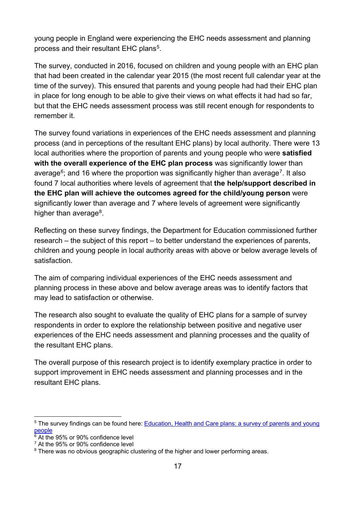young people in England were experiencing the EHC needs assessment and planning process and their resultant EHC plans<sup>5</sup>.

The survey, conducted in 2016, focused on children and young people with an EHC plan that had been created in the calendar year 2015 (the most recent full calendar year at the time of the survey). This ensured that parents and young people had had their EHC plan in place for long enough to be able to give their views on what effects it had had so far, but that the EHC needs assessment process was still recent enough for respondents to remember it.

The survey found variations in experiences of the EHC needs assessment and planning process (and in perceptions of the resultant EHC plans) by local authority. There were 13 local authorities where the proportion of parents and young people who were **satisfied with the overall experience of the EHC plan process** was significantly lower than average<sup>[6](#page-16-1)</sup>; and 16 where the proportion was significantly higher than average<sup>7</sup>. It also found 7 local authorities where levels of agreement that **the help/support described in the EHC plan will achieve the outcomes agreed for the child/young person** were significantly lower than average and 7 where levels of agreement were significantly higher than average $8$ .

Reflecting on these survey findings, the Department for Education commissioned further research – the subject of this report – to better understand the experiences of parents, children and young people in local authority areas with above or below average levels of satisfaction.

The aim of comparing individual experiences of the EHC needs assessment and planning process in these above and below average areas was to identify factors that may lead to satisfaction or otherwise.

The research also sought to evaluate the quality of EHC plans for a sample of survey respondents in order to explore the relationship between positive and negative user experiences of the EHC needs assessment and planning processes and the quality of the resultant EHC plans.

The overall purpose of this research project is to identify exemplary practice in order to support improvement in EHC needs assessment and planning processes and in the resultant EHC plans.

<span id="page-16-0"></span><sup>&</sup>lt;sup>5</sup> The survey findings can be found here: Education, Health and Care plans: a survey of parents and young [people](https://www.gov.uk/government/uploads/system/uploads/attachment_data/file/604384/Education__health_and_care_plans_parents_and_young_people_survey.pdf)

<span id="page-16-1"></span><sup>&</sup>lt;sup>6</sup> At the 95% or 90% confidence level

<span id="page-16-2"></span><sup>&</sup>lt;sup>7</sup> At the 95% or 90% confidence level

<span id="page-16-3"></span><sup>&</sup>lt;sup>8</sup> There was no obvious geographic clustering of the higher and lower performing areas.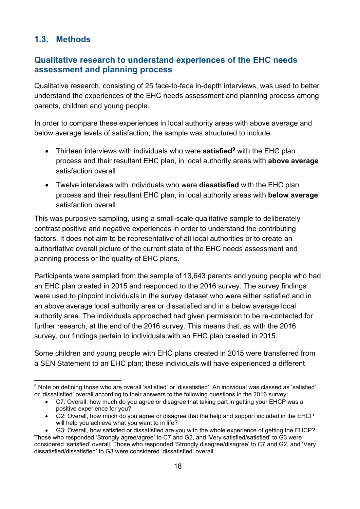### <span id="page-17-0"></span>**1.3. Methods**

#### <span id="page-17-1"></span>**Qualitative research to understand experiences of the EHC needs assessment and planning process**

Qualitative research, consisting of 25 face-to-face in-depth interviews, was used to better understand the experiences of the EHC needs assessment and planning process among parents, children and young people.

In order to compare these experiences in local authority areas with above average and below average levels of satisfaction, the sample was structured to include:

- Thirteen interviews with individuals who were **satisfied[9](#page-17-2)** with the EHC plan process and their resultant EHC plan, in local authority areas with **above average** satisfaction overall
- Twelve interviews with individuals who were **dissatisfied** with the EHC plan process and their resultant EHC plan, in local authority areas with **below average** satisfaction overall

This was purposive sampling, using a small-scale qualitative sample to deliberately contrast positive and negative experiences in order to understand the contributing factors. It does not aim to be representative of all local authorities or to create an authoritative overall picture of the current state of the EHC needs assessment and planning process or the quality of EHC plans.

Participants were sampled from the sample of 13,643 parents and young people who had an EHC plan created in 2015 and responded to the 2016 survey. The survey findings were used to pinpoint individuals in the survey dataset who were either satisfied and in an above average local authority area or dissatisfied and in a below average local authority area. The individuals approached had given permission to be re-contacted for further research, at the end of the 2016 survey. This means that, as with the 2016 survey, our findings pertain to individuals with an EHC plan created in 2015.

Some children and young people with EHC plans created in 2015 were transferred from a SEN Statement to an EHC plan; these individuals will have experienced a different

- C7: Overall, how much do you agree or disagree that taking part in getting your EHCP was a positive experience for you?
- G2: Overall, how much do you agree or disagree that the help and support included in the EHCP will help you achieve what you want to in life?

<span id="page-17-2"></span> <sup>9</sup> Note on defining those who are overall 'satisfied' or 'dissatisfied': An individual was classed as 'satisfied' or 'dissatisfied' overall according to their answers to the following questions in the 2016 survey:

<sup>•</sup> G3: Overall, how satisfied or dissatisfied are you with the whole experience of getting the EHCP? Those who responded 'Strongly agree/agree' to C7 and G2, and 'Very satisfied/satisfied' to G3 were considered 'satisfied' overall. Those who responded 'Strongly disagree/disagree' to C7 and G2, and 'Very dissatisfied/dissatisfied' to G3 were considered 'dissatisfied' overall.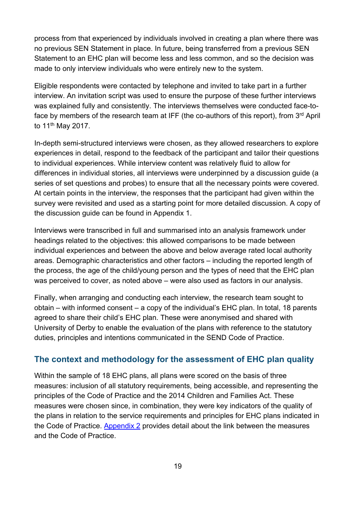process from that experienced by individuals involved in creating a plan where there was no previous SEN Statement in place. In future, being transferred from a previous SEN Statement to an EHC plan will become less and less common, and so the decision was made to only interview individuals who were entirely new to the system.

Eligible respondents were contacted by telephone and invited to take part in a further interview. An invitation script was used to ensure the purpose of these further interviews was explained fully and consistently. The interviews themselves were conducted face-toface by members of the research team at IFF (the co-authors of this report), from 3rd April to 11<sup>th</sup> May 2017.

In-depth semi-structured interviews were chosen, as they allowed researchers to explore experiences in detail, respond to the feedback of the participant and tailor their questions to individual experiences. While interview content was relatively fluid to allow for differences in individual stories, all interviews were underpinned by a discussion guide (a series of set questions and probes) to ensure that all the necessary points were covered. At certain points in the interview, the responses that the participant had given within the survey were revisited and used as a starting point for more detailed discussion. A copy of the discussion guide can be found in Appendix 1.

Interviews were transcribed in full and summarised into an analysis framework under headings related to the objectives: this allowed comparisons to be made between individual experiences and between the above and below average rated local authority areas. Demographic characteristics and other factors – including the reported length of the process, the age of the child/young person and the types of need that the EHC plan was perceived to cover, as noted above – were also used as factors in our analysis.

Finally, when arranging and conducting each interview, the research team sought to obtain – with informed consent – a copy of the individual's EHC plan. In total, 18 parents agreed to share their child's EHC plan. These were anonymised and shared with University of Derby to enable the evaluation of the plans with reference to the statutory duties, principles and intentions communicated in the SEND Code of Practice.

#### <span id="page-18-0"></span>**The context and methodology for the assessment of EHC plan quality**

Within the sample of 18 EHC plans, all plans were scored on the basis of three measures: inclusion of all statutory requirements, being accessible, and representing the principles of the Code of Practice and the 2014 Children and Families Act. These measures were chosen since, in combination, they were key indicators of the quality of the plans in relation to the service requirements and principles for EHC plans indicated in the Code of Practice. [Appendix 2](#page-76-0) provides detail about the link between the measures and the Code of Practice.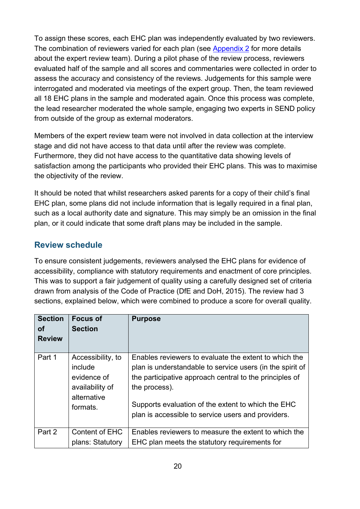To assign these scores, each EHC plan was independently evaluated by two reviewers. The combination of reviewers varied for each plan (see [Appendix 2](#page-76-0) for more details about the expert review team). During a pilot phase of the review process, reviewers evaluated half of the sample and all scores and commentaries were collected in order to assess the accuracy and consistency of the reviews. Judgements for this sample were interrogated and moderated via meetings of the expert group. Then, the team reviewed all 18 EHC plans in the sample and moderated again. Once this process was complete, the lead researcher moderated the whole sample, engaging two experts in SEND policy from outside of the group as external moderators.

Members of the expert review team were not involved in data collection at the interview stage and did not have access to that data until after the review was complete. Furthermore, they did not have access to the quantitative data showing levels of satisfaction among the participants who provided their EHC plans. This was to maximise the objectivity of the review.

It should be noted that whilst researchers asked parents for a copy of their child's final EHC plan, some plans did not include information that is legally required in a final plan, such as a local authority date and signature. This may simply be an omission in the final plan, or it could indicate that some draft plans may be included in the sample.

#### <span id="page-19-0"></span>**Review schedule**

To ensure consistent judgements, reviewers analysed the EHC plans for evidence of accessibility, compliance with statutory requirements and enactment of core principles. This was to support a fair judgement of quality using a carefully designed set of criteria drawn from analysis of the Code of Practice (DfE and DoH, 2015). The review had 3 sections, explained below, which were combined to produce a score for overall quality.

| <b>Section</b><br>Οf<br><b>Review</b> | <b>Focus of</b><br><b>Section</b>                                                         | <b>Purpose</b>                                                                                                                                                                                                                                                                                             |
|---------------------------------------|-------------------------------------------------------------------------------------------|------------------------------------------------------------------------------------------------------------------------------------------------------------------------------------------------------------------------------------------------------------------------------------------------------------|
| Part 1                                | Accessibility, to<br>include<br>evidence of<br>availability of<br>alternative<br>formats. | Enables reviewers to evaluate the extent to which the<br>plan is understandable to service users (in the spirit of<br>the participative approach central to the principles of<br>the process).<br>Supports evaluation of the extent to which the EHC<br>plan is accessible to service users and providers. |
| Part 2                                | Content of EHC<br>plans: Statutory                                                        | Enables reviewers to measure the extent to which the<br>EHC plan meets the statutory requirements for                                                                                                                                                                                                      |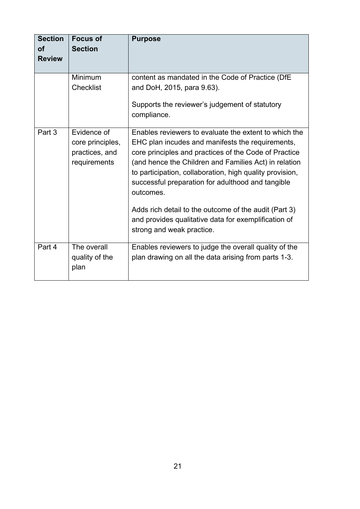| <b>Section</b><br><b>of</b><br><b>Review</b> | <b>Focus of</b><br><b>Section</b>                                 | <b>Purpose</b>                                                                                                                                                                                                                                                                                                                                                                                                                                                                                          |
|----------------------------------------------|-------------------------------------------------------------------|---------------------------------------------------------------------------------------------------------------------------------------------------------------------------------------------------------------------------------------------------------------------------------------------------------------------------------------------------------------------------------------------------------------------------------------------------------------------------------------------------------|
|                                              | Minimum<br>Checklist                                              | content as mandated in the Code of Practice (DfE<br>and DoH, 2015, para 9.63).<br>Supports the reviewer's judgement of statutory<br>compliance.                                                                                                                                                                                                                                                                                                                                                         |
| Part 3                                       | Evidence of<br>core principles,<br>practices, and<br>requirements | Enables reviewers to evaluate the extent to which the<br>EHC plan incudes and manifests the requirements,<br>core principles and practices of the Code of Practice<br>(and hence the Children and Families Act) in relation<br>to participation, collaboration, high quality provision,<br>successful preparation for adulthood and tangible<br>outcomes.<br>Adds rich detail to the outcome of the audit (Part 3)<br>and provides qualitative data for exemplification of<br>strong and weak practice. |
| Part 4                                       | The overall<br>quality of the<br>plan                             | Enables reviewers to judge the overall quality of the<br>plan drawing on all the data arising from parts 1-3.                                                                                                                                                                                                                                                                                                                                                                                           |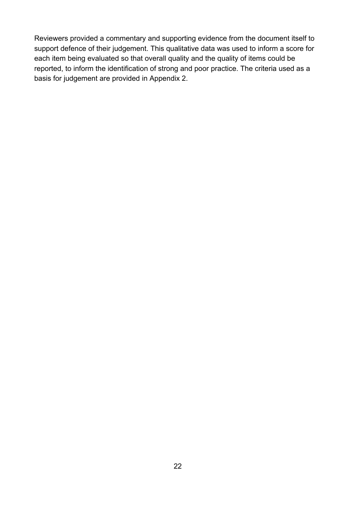Reviewers provided a commentary and supporting evidence from the document itself to support defence of their judgement. This qualitative data was used to inform a score for each item being evaluated so that overall quality and the quality of items could be reported, to inform the identification of strong and poor practice. The criteria used as a basis for judgement are provided in Appendix 2.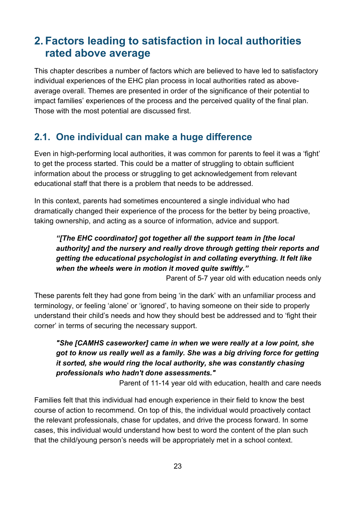# <span id="page-22-0"></span>**2. Factors leading to satisfaction in local authorities rated above average**

This chapter describes a number of factors which are believed to have led to satisfactory individual experiences of the EHC plan process in local authorities rated as aboveaverage overall. Themes are presented in order of the significance of their potential to impact families' experiences of the process and the perceived quality of the final plan. Those with the most potential are discussed first.

## <span id="page-22-1"></span>**2.1. One individual can make a huge difference**

Even in high-performing local authorities, it was common for parents to feel it was a 'fight' to get the process started. This could be a matter of struggling to obtain sufficient information about the process or struggling to get acknowledgement from relevant educational staff that there is a problem that needs to be addressed.

In this context, parents had sometimes encountered a single individual who had dramatically changed their experience of the process for the better by being proactive, taking ownership, and acting as a source of information, advice and support.

#### *"[The EHC coordinator] got together all the support team in [the local authority] and the nursery and really drove through getting their reports and getting the educational psychologist in and collating everything. It felt like when the wheels were in motion it moved quite swiftly."*

Parent of 5-7 year old with education needs only

These parents felt they had gone from being 'in the dark' with an unfamiliar process and terminology, or feeling 'alone' or 'ignored', to having someone on their side to properly understand their child's needs and how they should best be addressed and to 'fight their corner' in terms of securing the necessary support.

#### *"She [CAMHS caseworker] came in when we were really at a low point, she got to know us really well as a family. She was a big driving force for getting it sorted, she would ring the local authority, she was constantly chasing professionals who hadn't done assessments."*

Parent of 11-14 year old with education, health and care needs

Families felt that this individual had enough experience in their field to know the best course of action to recommend. On top of this, the individual would proactively contact the relevant professionals, chase for updates, and drive the process forward. In some cases, this individual would understand how best to word the content of the plan such that the child/young person's needs will be appropriately met in a school context.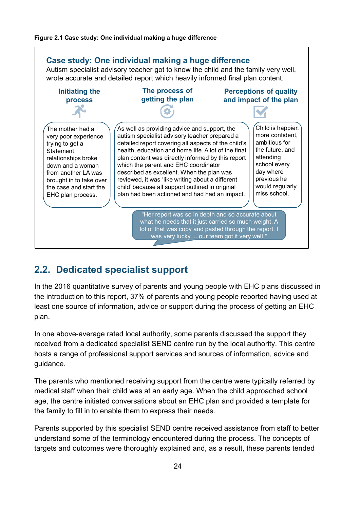#### <span id="page-23-1"></span>**Figure 2.1 Case study: One individual making a huge difference**



## <span id="page-23-0"></span>**2.2. Dedicated specialist support**

In the 2016 quantitative survey of parents and young people with EHC plans discussed in the introduction to this report, 37% of parents and young people reported having used at least one source of information, advice or support during the process of getting an EHC plan.

In one above-average rated local authority, some parents discussed the support they received from a dedicated specialist SEND centre run by the local authority. This centre hosts a range of professional support services and sources of information, advice and guidance.

The parents who mentioned receiving support from the centre were typically referred by medical staff when their child was at an early age. When the child approached school age, the centre initiated conversations about an EHC plan and provided a template for the family to fill in to enable them to express their needs.

Parents supported by this specialist SEND centre received assistance from staff to better understand some of the terminology encountered during the process. The concepts of targets and outcomes were thoroughly explained and, as a result, these parents tended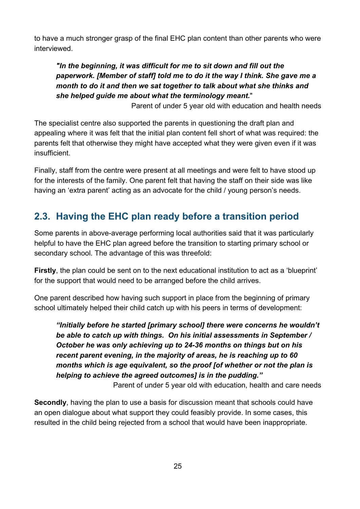to have a much stronger grasp of the final EHC plan content than other parents who were interviewed.

*"In the beginning, it was difficult for me to sit down and fill out the paperwork. [Member of staff] told me to do it the way I think. She gave me a month to do it and then we sat together to talk about what she thinks and she helped guide me about what the terminology meant.*"

Parent of under 5 year old with education and health needs

The specialist centre also supported the parents in questioning the draft plan and appealing where it was felt that the initial plan content fell short of what was required: the parents felt that otherwise they might have accepted what they were given even if it was insufficient.

Finally, staff from the centre were present at all meetings and were felt to have stood up for the interests of the family. One parent felt that having the staff on their side was like having an 'extra parent' acting as an advocate for the child / young person's needs.

# <span id="page-24-0"></span>**2.3. Having the EHC plan ready before a transition period**

Some parents in above-average performing local authorities said that it was particularly helpful to have the EHC plan agreed before the transition to starting primary school or secondary school. The advantage of this was threefold:

**Firstly**, the plan could be sent on to the next educational institution to act as a 'blueprint' for the support that would need to be arranged before the child arrives.

One parent described how having such support in place from the beginning of primary school ultimately helped their child catch up with his peers in terms of development:

*"Initially before he started [primary school] there were concerns he wouldn't be able to catch up with things. On his initial assessments in September / October he was only achieving up to 24-36 months on things but on his recent parent evening, in the majority of areas, he is reaching up to 60 months which is age equivalent, so the proof [of whether or not the plan is helping to achieve the agreed outcomes] is in the pudding."*

Parent of under 5 year old with education, health and care needs

**Secondly**, having the plan to use a basis for discussion meant that schools could have an open dialogue about what support they could feasibly provide. In some cases, this resulted in the child being rejected from a school that would have been inappropriate.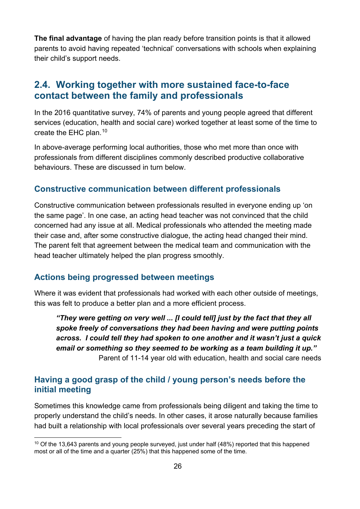**The final advantage** of having the plan ready before transition points is that it allowed parents to avoid having repeated 'technical' conversations with schools when explaining their child's support needs.

## <span id="page-25-0"></span>**2.4. Working together with more sustained face-to-face contact between the family and professionals**

In the 2016 quantitative survey, 74% of parents and young people agreed that different services (education, health and social care) worked together at least some of the time to create the EHC plan. $^{\rm 10}$  $^{\rm 10}$  $^{\rm 10}$ 

In above-average performing local authorities, those who met more than once with professionals from different disciplines commonly described productive collaborative behaviours. These are discussed in turn below.

#### <span id="page-25-1"></span>**Constructive communication between different professionals**

Constructive communication between professionals resulted in everyone ending up 'on the same page'. In one case, an acting head teacher was not convinced that the child concerned had any issue at all. Medical professionals who attended the meeting made their case and, after some constructive dialogue, the acting head changed their mind. The parent felt that agreement between the medical team and communication with the head teacher ultimately helped the plan progress smoothly.

#### <span id="page-25-2"></span>**Actions being progressed between meetings**

Where it was evident that professionals had worked with each other outside of meetings, this was felt to produce a better plan and a more efficient process.

*"They were getting on very well ... [I could tell] just by the fact that they all spoke freely of conversations they had been having and were putting points across. I could tell they had spoken to one another and it wasn't just a quick email or something so they seemed to be working as a team building it up."* Parent of 11-14 year old with education, health and social care needs

#### <span id="page-25-3"></span>**Having a good grasp of the child / young person's needs before the initial meeting**

Sometimes this knowledge came from professionals being diligent and taking the time to properly understand the child's needs. In other cases, it arose naturally because families had built a relationship with local professionals over several years preceding the start of

<span id="page-25-4"></span> $10$  Of the 13,643 parents and young people surveyed, just under half (48%) reported that this happened most or all of the time and a quarter (25%) that this happened some of the time.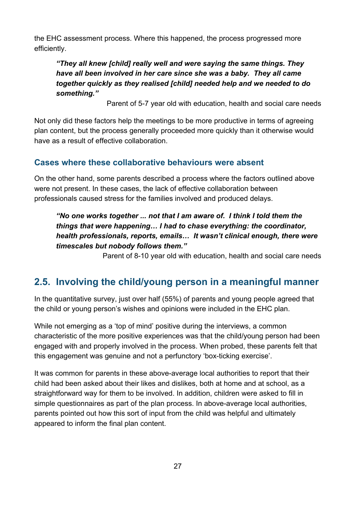the EHC assessment process. Where this happened, the process progressed more efficiently.

*"They all knew [child] really well and were saying the same things. They have all been involved in her care since she was a baby. They all came together quickly as they realised [child] needed help and we needed to do something."*

Parent of 5-7 year old with education, health and social care needs

Not only did these factors help the meetings to be more productive in terms of agreeing plan content, but the process generally proceeded more quickly than it otherwise would have as a result of effective collaboration.

#### <span id="page-26-0"></span>**Cases where these collaborative behaviours were absent**

On the other hand, some parents described a process where the factors outlined above were not present. In these cases, the lack of effective collaboration between professionals caused stress for the families involved and produced delays.

*"No one works together ... not that I am aware of. I think I told them the things that were happening… I had to chase everything: the coordinator, health professionals, reports, emails… It wasn't clinical enough, there were timescales but nobody follows them."*

Parent of 8-10 year old with education, health and social care needs

## <span id="page-26-1"></span>**2.5. Involving the child/young person in a meaningful manner**

In the quantitative survey, just over half (55%) of parents and young people agreed that the child or young person's wishes and opinions were included in the EHC plan.

While not emerging as a 'top of mind' positive during the interviews, a common characteristic of the more positive experiences was that the child/young person had been engaged with and properly involved in the process. When probed, these parents felt that this engagement was genuine and not a perfunctory 'box-ticking exercise'.

It was common for parents in these above-average local authorities to report that their child had been asked about their likes and dislikes, both at home and at school, as a straightforward way for them to be involved. In addition, children were asked to fill in simple questionnaires as part of the plan process. In above-average local authorities, parents pointed out how this sort of input from the child was helpful and ultimately appeared to inform the final plan content.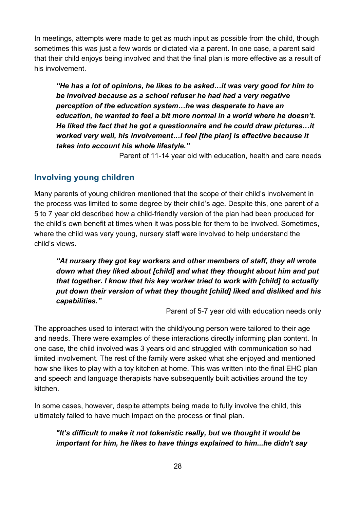In meetings, attempts were made to get as much input as possible from the child, though sometimes this was just a few words or dictated via a parent. In one case, a parent said that their child enjoys being involved and that the final plan is more effective as a result of his involvement.

*"He has a lot of opinions, he likes to be asked…it was very good for him to be involved because as a school refuser he had had a very negative perception of the education system…he was desperate to have an education, he wanted to feel a bit more normal in a world where he doesn't. He liked the fact that he got a questionnaire and he could draw pictures…it worked very well, his involvement…I feel [the plan] is effective because it takes into account his whole lifestyle."*

Parent of 11-14 year old with education, health and care needs

#### <span id="page-27-0"></span>**Involving young children**

Many parents of young children mentioned that the scope of their child's involvement in the process was limited to some degree by their child's age. Despite this, one parent of a 5 to 7 year old described how a child-friendly version of the plan had been produced for the child's own benefit at times when it was possible for them to be involved. Sometimes, where the child was very young, nursery staff were involved to help understand the child's views.

*"At nursery they got key workers and other members of staff, they all wrote down what they liked about [child] and what they thought about him and put that together. I know that his key worker tried to work with [child] to actually put down their version of what they thought [child] liked and disliked and his capabilities."*

Parent of 5-7 year old with education needs only

The approaches used to interact with the child/young person were tailored to their age and needs. There were examples of these interactions directly informing plan content. In one case, the child involved was 3 years old and struggled with communication so had limited involvement. The rest of the family were asked what she enjoyed and mentioned how she likes to play with a toy kitchen at home. This was written into the final EHC plan and speech and language therapists have subsequently built activities around the toy kitchen.

In some cases, however, despite attempts being made to fully involve the child, this ultimately failed to have much impact on the process or final plan.

#### *"It's difficult to make it not tokenistic really, but we thought it would be important for him, he likes to have things explained to him...he didn't say*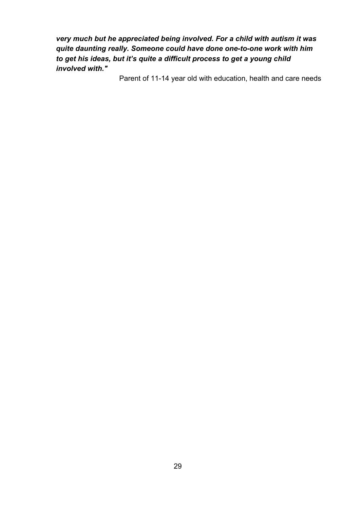*very much but he appreciated being involved. For a child with autism it was quite daunting really. Someone could have done one-to-one work with him to get his ideas, but it's quite a difficult process to get a young child involved with."* 

Parent of 11-14 year old with education, health and care needs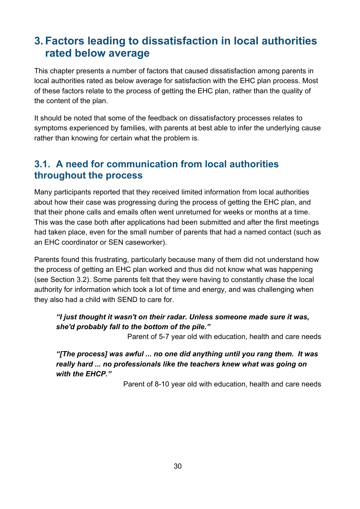# <span id="page-29-0"></span>**3. Factors leading to dissatisfaction in local authorities rated below average**

This chapter presents a number of factors that caused dissatisfaction among parents in local authorities rated as below average for satisfaction with the EHC plan process. Most of these factors relate to the process of getting the EHC plan, rather than the quality of the content of the plan.

It should be noted that some of the feedback on dissatisfactory processes relates to symptoms experienced by families, with parents at best able to infer the underlying cause rather than knowing for certain what the problem is.

## <span id="page-29-1"></span>**3.1. A need for communication from local authorities throughout the process**

Many participants reported that they received limited information from local authorities about how their case was progressing during the process of getting the EHC plan, and that their phone calls and emails often went unreturned for weeks or months at a time. This was the case both after applications had been submitted and after the first meetings had taken place, even for the small number of parents that had a named contact (such as an EHC coordinator or SEN caseworker).

Parents found this frustrating, particularly because many of them did not understand how the process of getting an EHC plan worked and thus did not know what was happening (see Section 3.2). Some parents felt that they were having to constantly chase the local authority for information which took a lot of time and energy, and was challenging when they also had a child with SEND to care for.

#### *"I just thought it wasn't on their radar. Unless someone made sure it was, she'd probably fall to the bottom of the pile."*

Parent of 5-7 year old with education, health and care needs

*"[The process] was awful ... no one did anything until you rang them. It was really hard ... no professionals like the teachers knew what was going on with the EHCP."*

Parent of 8-10 year old with education, health and care needs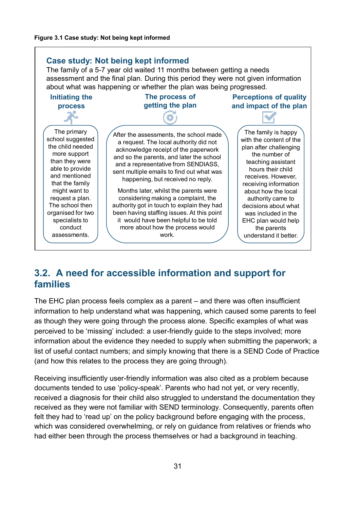<span id="page-30-1"></span>

## <span id="page-30-0"></span>**3.2. A need for accessible information and support for families**

The EHC plan process feels complex as a parent – and there was often insufficient information to help understand what was happening, which caused some parents to feel as though they were going through the process alone. Specific examples of what was perceived to be 'missing' included: a user-friendly guide to the steps involved; more information about the evidence they needed to supply when submitting the paperwork; a list of useful contact numbers; and simply knowing that there is a SEND Code of Practice (and how this relates to the process they are going through).

Receiving insufficiently user-friendly information was also cited as a problem because documents tended to use 'policy-speak'. Parents who had not yet, or very recently, received a diagnosis for their child also struggled to understand the documentation they received as they were not familiar with SEND terminology. Consequently, parents often felt they had to 'read up' on the policy background before engaging with the process, which was considered overwhelming, or rely on guidance from relatives or friends who had either been through the process themselves or had a background in teaching.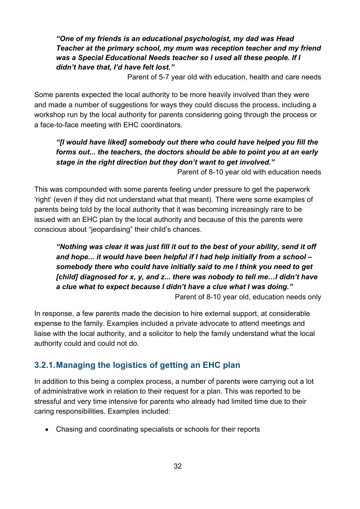#### *"One of my friends is an educational psychologist, my dad was Head Teacher at the primary school, my mum was reception teacher and my friend was a Special Educational Needs teacher so I used all these people. If I didn't have that, I'd have felt lost."*

Parent of 5-7 year old with education, health and care needs

Some parents expected the local authority to be more heavily involved than they were and made a number of suggestions for ways they could discuss the process, including a workshop run by the local authority for parents considering going through the process or a face-to-face meeting with EHC coordinators.

#### *"[I would have liked] somebody out there who could have helped you fill the forms out... the teachers, the doctors should be able to point you at an early stage in the right direction but they don't want to get involved."*

Parent of 8-10 year old with education needs

This was compounded with some parents feeling under pressure to get the paperwork 'right' (even if they did not understand what that meant). There were some examples of parents being told by the local authority that it was becoming increasingly rare to be issued with an EHC plan by the local authority and because of this the parents were conscious about "jeopardising" their child's chances.

#### *"Nothing was clear it was just fill it out to the best of your ability, send it off and hope... it would have been helpful if I had help initially from a school – somebody there who could have initially said to me I think you need to get [child] diagnosed for x, y, and z... there was nobody to tell me…I didn't have a clue what to expect because I didn't have a clue what I was doing."* Parent of 8-10 year old, education needs only

In response, a few parents made the decision to hire external support, at considerable expense to the family. Examples included a private advocate to attend meetings and liaise with the local authority, and a solicitor to help the family understand what the local authority could and could not do.

#### <span id="page-31-0"></span>**3.2.1.Managing the logistics of getting an EHC plan**

In addition to this being a complex process, a number of parents were carrying out a lot of administrative work in relation to their request for a plan. This was reported to be stressful and very time intensive for parents who already had limited time due to their caring responsibilities. Examples included:

• Chasing and coordinating specialists or schools for their reports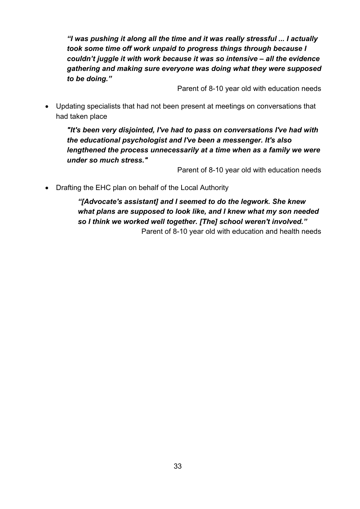*"I was pushing it along all the time and it was really stressful ... I actually took some time off work unpaid to progress things through because I couldn't juggle it with work because it was so intensive – all the evidence gathering and making sure everyone was doing what they were supposed to be doing."* 

Parent of 8-10 year old with education needs

• Updating specialists that had not been present at meetings on conversations that had taken place

*"It's been very disjointed, I've had to pass on conversations I've had with the educational psychologist and I've been a messenger. It's also lengthened the process unnecessarily at a time when as a family we were under so much stress."*

Parent of 8-10 year old with education needs

• Drafting the EHC plan on behalf of the Local Authority

*"[Advocate's assistant] and I seemed to do the legwork. She knew what plans are supposed to look like, and I knew what my son needed so I think we worked well together. [The] school weren't involved."* Parent of 8-10 year old with education and health needs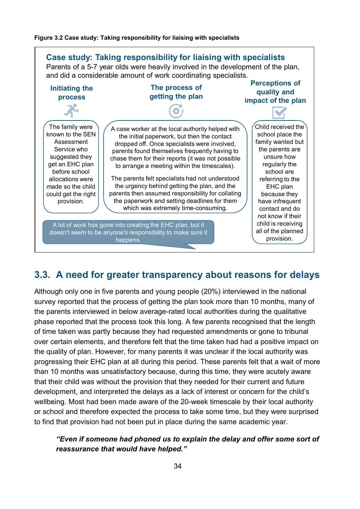#### <span id="page-33-1"></span>**Figure 3.2 Case study: Taking responsibility for liaising with specialists**



## <span id="page-33-0"></span>**3.3. A need for greater transparency about reasons for delays**

Although only one in five parents and young people (20%) interviewed in the national survey reported that the process of getting the plan took more than 10 months, many of the parents interviewed in below average-rated local authorities during the qualitative phase reported that the process took this long. A few parents recognised that the length of time taken was partly because they had requested amendments or gone to tribunal over certain elements, and therefore felt that the time taken had had a positive impact on the quality of plan. However, for many parents it was unclear if the local authority was progressing their EHC plan at all during this period. These parents felt that a wait of more than 10 months was unsatisfactory because, during this time, they were acutely aware that their child was without the provision that they needed for their current and future development, and interpreted the delays as a lack of interest or concern for the child's wellbeing. Most had been made aware of the 20-week timescale by their local authority or school and therefore expected the process to take some time, but they were surprised to find that provision had not been put in place during the same academic year.

#### *"Even if someone had phoned us to explain the delay and offer some sort of reassurance that would have helped."*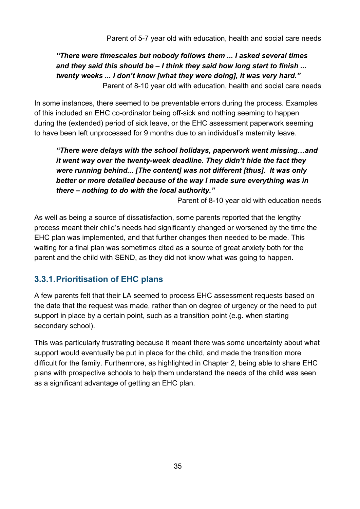*"There were timescales but nobody follows them ... I asked several times and they said this should be – I think they said how long start to finish ... twenty weeks ... I don't know [what they were doing], it was very hard."* Parent of 8-10 year old with education, health and social care needs

In some instances, there seemed to be preventable errors during the process. Examples of this included an EHC co-ordinator being off-sick and nothing seeming to happen during the (extended) period of sick leave, or the EHC assessment paperwork seeming to have been left unprocessed for 9 months due to an individual's maternity leave.

*"There were delays with the school holidays, paperwork went missing…and it went way over the twenty-week deadline. They didn't hide the fact they were running behind... [The content] was not different [thus]. It was only better or more detailed because of the way I made sure everything was in there – nothing to do with the local authority."*

Parent of 8-10 year old with education needs

As well as being a source of dissatisfaction, some parents reported that the lengthy process meant their child's needs had significantly changed or worsened by the time the EHC plan was implemented, and that further changes then needed to be made. This waiting for a final plan was sometimes cited as a source of great anxiety both for the parent and the child with SEND, as they did not know what was going to happen.

### <span id="page-34-0"></span>**3.3.1.Prioritisation of EHC plans**

A few parents felt that their LA seemed to process EHC assessment requests based on the date that the request was made, rather than on degree of urgency or the need to put support in place by a certain point, such as a transition point (e.g. when starting secondary school).

This was particularly frustrating because it meant there was some uncertainty about what support would eventually be put in place for the child, and made the transition more difficult for the family. Furthermore, as highlighted in Chapter 2, being able to share EHC plans with prospective schools to help them understand the needs of the child was seen as a significant advantage of getting an EHC plan.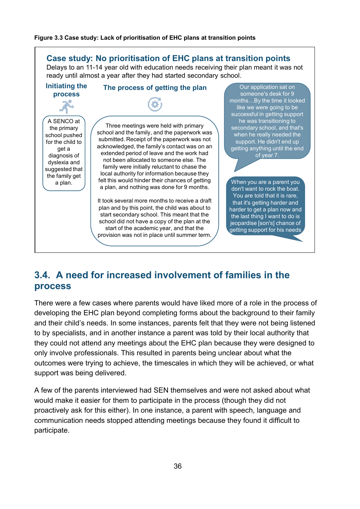#### <span id="page-35-1"></span>**Figure 3.3 Case study: Lack of prioritisation of EHC plans at transition points**



## <span id="page-35-0"></span>**3.4. A need for increased involvement of families in the process**

There were a few cases where parents would have liked more of a role in the process of developing the EHC plan beyond completing forms about the background to their family and their child's needs. In some instances, parents felt that they were not being listened to by specialists, and in another instance a parent was told by their local authority that they could not attend any meetings about the EHC plan because they were designed to only involve professionals. This resulted in parents being unclear about what the outcomes were trying to achieve, the timescales in which they will be achieved, or what support was being delivered.

A few of the parents interviewed had SEN themselves and were not asked about what would make it easier for them to participate in the process (though they did not proactively ask for this either). In one instance, a parent with speech, language and communication needs stopped attending meetings because they found it difficult to participate.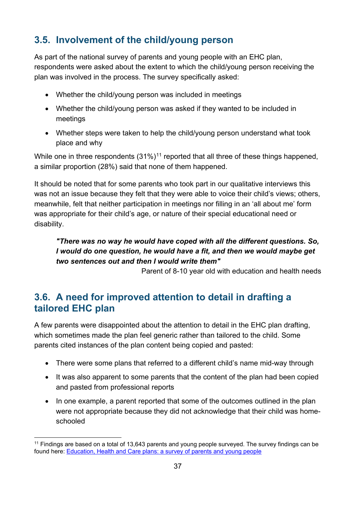### **3.5. Involvement of the child/young person**

As part of the national survey of parents and young people with an EHC plan, respondents were asked about the extent to which the child/young person receiving the plan was involved in the process. The survey specifically asked:

- Whether the child/young person was included in meetings
- Whether the child/young person was asked if they wanted to be included in meetings
- Whether steps were taken to help the child/young person understand what took place and why

While one in three respondents  $(31\%)^{11}$  $(31\%)^{11}$  $(31\%)^{11}$  reported that all three of these things happened, a similar proportion (28%) said that none of them happened.

It should be noted that for some parents who took part in our qualitative interviews this was not an issue because they felt that they were able to voice their child's views; others, meanwhile, felt that neither participation in meetings nor filling in an 'all about me' form was appropriate for their child's age, or nature of their special educational need or disability.

#### *"There was no way he would have coped with all the different questions. So, I would do one question, he would have a fit, and then we would maybe get two sentences out and then I would write them"*

Parent of 8-10 year old with education and health needs

### **3.6. A need for improved attention to detail in drafting a tailored EHC plan**

A few parents were disappointed about the attention to detail in the EHC plan drafting, which sometimes made the plan feel generic rather than tailored to the child. Some parents cited instances of the plan content being copied and pasted:

- There were some plans that referred to a different child's name mid-way through
- It was also apparent to some parents that the content of the plan had been copied and pasted from professional reports
- In one example, a parent reported that some of the outcomes outlined in the plan were not appropriate because they did not acknowledge that their child was homeschooled

<span id="page-36-0"></span> $11$  Findings are based on a total of 13,643 parents and young people surveyed. The survey findings can be found here: [Education, Health and Care plans: a survey of parents and young people](https://www.gov.uk/government/uploads/system/uploads/attachment_data/file/604384/Education__health_and_care_plans_parents_and_young_people_survey.pdf)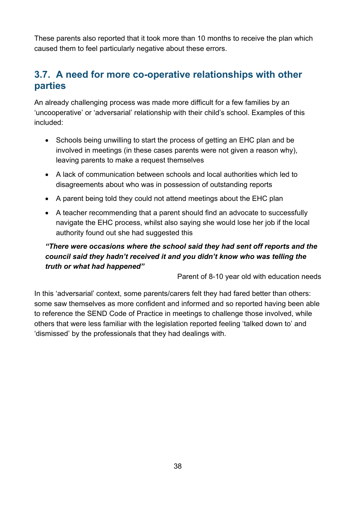These parents also reported that it took more than 10 months to receive the plan which caused them to feel particularly negative about these errors.

### **3.7. A need for more co-operative relationships with other parties**

An already challenging process was made more difficult for a few families by an 'uncooperative' or 'adversarial' relationship with their child's school. Examples of this included:

- Schools being unwilling to start the process of getting an EHC plan and be involved in meetings (in these cases parents were not given a reason why), leaving parents to make a request themselves
- A lack of communication between schools and local authorities which led to disagreements about who was in possession of outstanding reports
- A parent being told they could not attend meetings about the EHC plan
- A teacher recommending that a parent should find an advocate to successfully navigate the EHC process, whilst also saying she would lose her job if the local authority found out she had suggested this

### *"There were occasions where the school said they had sent off reports and the council said they hadn't received it and you didn't know who was telling the truth or what had happened"*

Parent of 8-10 year old with education needs

In this 'adversarial' context, some parents/carers felt they had fared better than others: some saw themselves as more confident and informed and so reported having been able to reference the SEND Code of Practice in meetings to challenge those involved, while others that were less familiar with the legislation reported feeling 'talked down to' and 'dismissed' by the professionals that they had dealings with.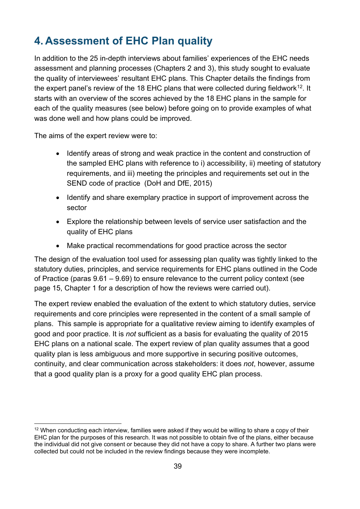# **4. Assessment of EHC Plan quality**

In addition to the 25 in-depth interviews about families' experiences of the EHC needs assessment and planning processes (Chapters 2 and 3), this study sought to evaluate the quality of interviewees' resultant EHC plans. This Chapter details the findings from the expert panel's review of the 18 EHC plans that were collected during fieldwork<sup>[12](#page-38-0)</sup>. It starts with an overview of the scores achieved by the 18 EHC plans in the sample for each of the quality measures (see below) before going on to provide examples of what was done well and how plans could be improved.

The aims of the expert review were to:

- Identify areas of strong and weak practice in the content and construction of the sampled EHC plans with reference to i) accessibility, ii) meeting of statutory requirements, and iii) meeting the principles and requirements set out in the SEND code of practice (DoH and DfE, 2015)
- Identify and share exemplary practice in support of improvement across the sector
- Explore the relationship between levels of service user satisfaction and the quality of EHC plans
- Make practical recommendations for good practice across the sector

The design of the evaluation tool used for assessing plan quality was tightly linked to the statutory duties, principles, and service requirements for EHC plans outlined in the Code of Practice (paras 9.61 – 9.69) to ensure relevance to the current policy context (see page 15, Chapter 1 for a description of how the reviews were carried out).

The expert review enabled the evaluation of the extent to which statutory duties, service requirements and core principles were represented in the content of a small sample of plans. This sample is appropriate for a qualitative review aiming to identify examples of good and poor practice. It is *not* sufficient as a basis for evaluating the quality of 2015 EHC plans on a national scale. The expert review of plan quality assumes that a good quality plan is less ambiguous and more supportive in securing positive outcomes, continuity, and clear communication across stakeholders: it does *not*, however, assume that a good quality plan is a proxy for a good quality EHC plan process.

<span id="page-38-0"></span> $12$  When conducting each interview, families were asked if they would be willing to share a copy of their EHC plan for the purposes of this research. It was not possible to obtain five of the plans, either because the individual did not give consent or because they did not have a copy to share. A further two plans were collected but could not be included in the review findings because they were incomplete.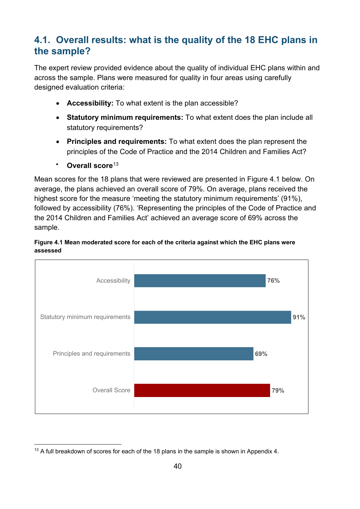### **4.1. Overall results: what is the quality of the 18 EHC plans in the sample?**

The expert review provided evidence about the quality of individual EHC plans within and across the sample. Plans were measured for quality in four areas using carefully designed evaluation criteria:

- **Accessibility:** To what extent is the plan accessible?
- **Statutory minimum requirements:** To what extent does the plan include all statutory requirements?
- **Principles and requirements:** To what extent does the plan represent the principles of the Code of Practice and the 2014 Children and Families Act?
- Overall score<sup>[13](#page-39-0)</sup>

Mean scores for the 18 plans that were reviewed are presented in Figure 4.1 below. On average, the plans achieved an overall score of 79%. On average, plans received the highest score for the measure 'meeting the statutory minimum requirements' (91%), followed by accessibility (76%). 'Representing the principles of the Code of Practice and the 2014 Children and Families Act' achieved an average score of 69% across the sample.





<span id="page-39-0"></span><sup>&</sup>lt;sup>13</sup> A full breakdown of scores for each of the 18 plans in the sample is shown in Appendix 4.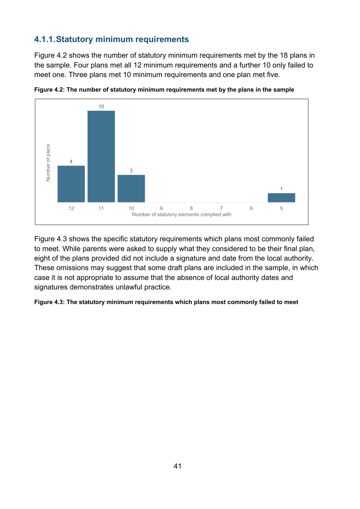### **4.1.1.Statutory minimum requirements**

[Figure 4.2](#page-40-0) shows the number of statutory minimum requirements met by the 18 plans in the sample. Four plans met all 12 minimum requirements and a further 10 only failed to meet one. Three plans met 10 minimum requirements and one plan met five.



<span id="page-40-0"></span>**Figure 4.2: The number of statutory minimum requirements met by the plans in the sample**

[Figure 4.3](#page-40-1) shows the specific statutory requirements which plans most commonly failed to meet. While parents were asked to supply what they considered to be their final plan, eight of the plans provided did not include a signature and date from the local authority. These omissions may suggest that some draft plans are included in the sample, in which case it is not appropriate to assume that the absence of local authority dates and signatures demonstrates unlawful practice.

#### <span id="page-40-1"></span>**Figure 4.3: The statutory minimum requirements which plans most commonly failed to meet**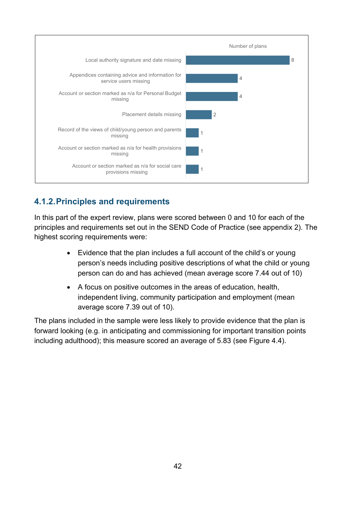

### **4.1.2.Principles and requirements**

In this part of the expert review, plans were scored between 0 and 10 for each of the principles and requirements set out in the SEND Code of Practice (see appendix 2). The highest scoring requirements were:

- Evidence that the plan includes a full account of the child's or young person's needs including positive descriptions of what the child or young person can do and has achieved (mean average score 7.44 out of 10)
- A focus on positive outcomes in the areas of education, health, independent living, community participation and employment (mean average score 7.39 out of 10).

The plans included in the sample were less likely to provide evidence that the plan is forward looking (e.g. in anticipating and commissioning for important transition points including adulthood); this measure scored an average of 5.83 (see [Figure 4.4\)](#page-42-0).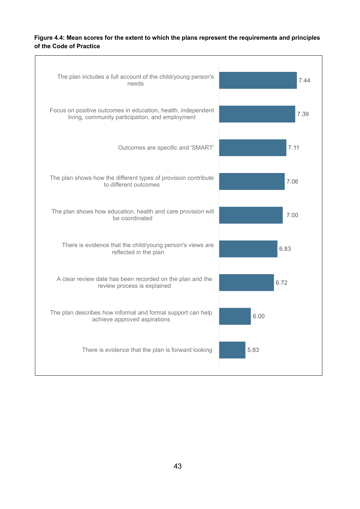#### <span id="page-42-0"></span>**Figure 4.4: Mean scores for the extent to which the plans represent the requirements and principles of the Code of Practice**

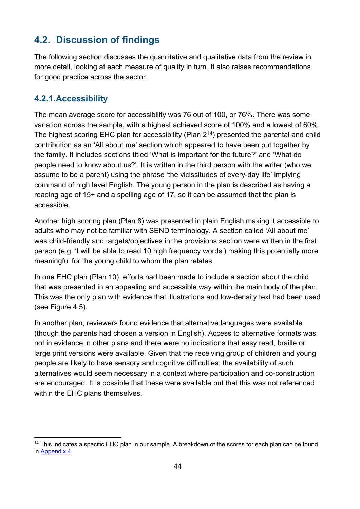### **4.2. Discussion of findings**

The following section discusses the quantitative and qualitative data from the review in more detail, looking at each measure of quality in turn. It also raises recommendations for good practice across the sector.

### **4.2.1.Accessibility**

The mean average score for accessibility was 76 out of 100, or 76%. There was some variation across the sample, with a highest achieved score of 100% and a lowest of 60%. The highest scoring EHC plan for accessibility (Plan  $2^{14}$ ) presented the parental and child contribution as an 'All about me' section which appeared to have been put together by the family. It includes sections titled 'What is important for the future?' and 'What do people need to know about us?'. It is written in the third person with the writer (who we assume to be a parent) using the phrase 'the vicissitudes of every-day life' implying command of high level English. The young person in the plan is described as having a reading age of 15+ and a spelling age of 17, so it can be assumed that the plan is accessible.

Another high scoring plan (Plan 8) was presented in plain English making it accessible to adults who may not be familiar with SEND terminology. A section called 'All about me' was child-friendly and targets/objectives in the provisions section were written in the first person (e.g. 'I will be able to read 10 high frequency words') making this potentially more meaningful for the young child to whom the plan relates.

In one EHC plan (Plan 10), efforts had been made to include a section about the child that was presented in an appealing and accessible way within the main body of the plan. This was the only plan with evidence that illustrations and low-density text had been used (see [Figure 4.5\)](#page-44-0).

In another plan, reviewers found evidence that alternative languages were available (though the parents had chosen a version in English). Access to alternative formats was not in evidence in other plans and there were no indications that easy read, braille or large print versions were available. Given that the receiving group of children and young people are likely to have sensory and cognitive difficulties, the availability of such alternatives would seem necessary in a context where participation and co-construction are encouraged. It is possible that these were available but that this was not referenced within the EHC plans themselves.

<span id="page-43-0"></span><sup>&</sup>lt;sup>14</sup> This indicates a specific EHC plan in our sample. A breakdown of the scores for each plan can be found in [Appendix 4.](#page-81-0)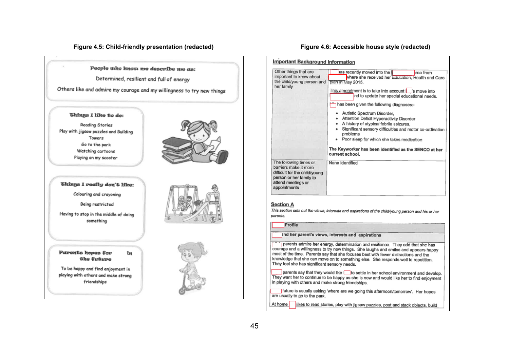#### **Figure 4.5: Child-friendly presentation (redacted) Figure 4.6: Accessible house style (redacted)**

People who know me describe me as:

Determined, resilient and full of energy

Others like and admire my courage and my willingness to try new things

#### *Ghings I like to do:*

**Reading Stories** Play with jigsaw puzzles and Building Towers Go to the park Watching cartoons Playing on my scooter



#### <span id="page-44-0"></span>Chings I really don't like:

Colouring and crayoning

Being restricted

Having to stop in the middle of doing something

#### Parents hopes for the Cuture

ĩи

To be happy and find enjoyment in playing with others and make strong friendships





| None Identified                                                                                                                                                                                                                                               |
|---------------------------------------------------------------------------------------------------------------------------------------------------------------------------------------------------------------------------------------------------------------|
|                                                                                                                                                                                                                                                               |
| This section sets out the views, interests and aspirations of the child/young person and his or her                                                                                                                                                           |
| and her parent's views, interests and aspirations                                                                                                                                                                                                             |
| parents admire her energy, determination and resilience. They add that she has<br>courage and a willingness to try new things. She laughs and smiles and appears happy<br>most of the time. Parents say that she focuses best with fewer distractions and the |

<span id="page-44-1"></span>parents say that they would like in settle in her school environment and develop. They want her to continue to be happy as she is now and would like her to find enjoyment in playing with others and make strong friendships.

future is usually asking 'where are we going this afternoon/tomorrow'. Her hopes are usually to go to the park.

At home likes to read stories, play with jigsaw puzzles, post and stack objects, build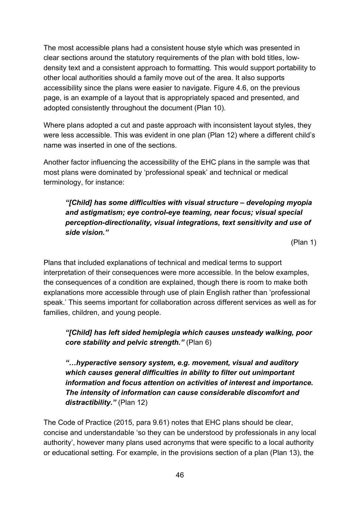The most accessible plans had a consistent house style which was presented in clear sections around the statutory requirements of the plan with bold titles, lowdensity text and a consistent approach to formatting. This would support portability to other local authorities should a family move out of the area. It also supports accessibility since the plans were easier to navigate. [Figure 4.6,](#page-44-1) on the previous page, is an example of a layout that is appropriately spaced and presented, and adopted consistently throughout the document (Plan 10).

Where plans adopted a cut and paste approach with inconsistent layout styles, they were less accessible. This was evident in one plan (Plan 12) where a different child's name was inserted in one of the sections.

Another factor influencing the accessibility of the EHC plans in the sample was that most plans were dominated by 'professional speak' and technical or medical terminology, for instance:

*"[Child] has some difficulties with visual structure – developing myopia and astigmatism; eye control-eye teaming, near focus; visual special perception-directionality, visual integrations, text sensitivity and use of side vision."*

(Plan 1)

Plans that included explanations of technical and medical terms to support interpretation of their consequences were more accessible. In the below examples, the consequences of a condition are explained, though there is room to make both explanations more accessible through use of plain English rather than 'professional speak.' This seems important for collaboration across different services as well as for families, children, and young people.

*"[Child] has left sided hemiplegia which causes unsteady walking, poor core stability and pelvic strength."* (Plan 6)

*"…hyperactive sensory system, e.g. movement, visual and auditory which causes general difficulties in ability to filter out unimportant information and focus attention on activities of interest and importance. The intensity of information can cause considerable discomfort and distractibility."* (Plan 12)

The Code of Practice (2015, para 9.61) notes that EHC plans should be clear, concise and understandable 'so they can be understood by professionals in any local authority', however many plans used acronyms that were specific to a local authority or educational setting. For example, in the provisions section of a plan (Plan 13), the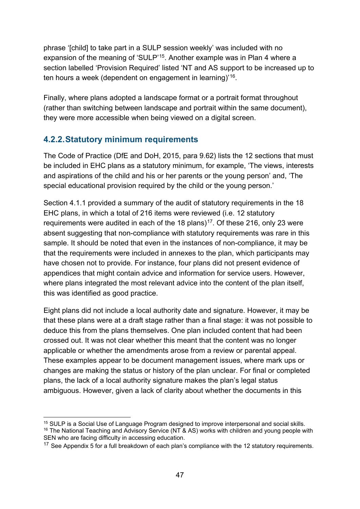phrase '[child] to take part in a SULP session weekly' was included with no expansion of the meaning of 'SULP'<sup>[15](#page-46-0)</sup>. Another example was in Plan 4 where a section labelled 'Provision Required' listed 'NT and AS support to be increased up to ten hours a week (dependent on engagement in learning)'[16.](#page-46-1)

Finally, where plans adopted a landscape format or a portrait format throughout (rather than switching between landscape and portrait within the same document), they were more accessible when being viewed on a digital screen.

### **4.2.2.Statutory minimum requirements**

The Code of Practice (DfE and DoH, 2015, para 9.62) lists the 12 sections that must be included in EHC plans as a statutory minimum, for example, 'The views, interests and aspirations of the child and his or her parents or the young person' and, 'The special educational provision required by the child or the young person.'

Section 4.1.1 provided a summary of the audit of statutory requirements in the 18 EHC plans, in which a total of 216 items were reviewed (i.e. 12 statutory requirements were audited in each of the 18 plans)<sup>17</sup>. Of these 216, only 23 were absent suggesting that non-compliance with statutory requirements was rare in this sample. It should be noted that even in the instances of non-compliance, it may be that the requirements were included in annexes to the plan, which participants may have chosen not to provide. For instance, four plans did not present evidence of appendices that might contain advice and information for service users. However, where plans integrated the most relevant advice into the content of the plan itself, this was identified as good practice.

Eight plans did not include a local authority date and signature. However, it may be that these plans were at a draft stage rather than a final stage: it was not possible to deduce this from the plans themselves. One plan included content that had been crossed out. It was not clear whether this meant that the content was no longer applicable or whether the amendments arose from a review or parental appeal. These examples appear to be document management issues, where mark ups or changes are making the status or history of the plan unclear. For final or completed plans, the lack of a local authority signature makes the plan's legal status ambiguous. However, given a lack of clarity about whether the documents in this

<span id="page-46-1"></span><span id="page-46-0"></span><sup>&</sup>lt;sup>15</sup> SULP is a Social Use of Language Program designed to improve interpersonal and social skills. <sup>16</sup> The National Teaching and Advisory Service (NT & AS) works with children and young people with SEN who are facing difficulty in accessing education.

<span id="page-46-2"></span><sup>&</sup>lt;sup>17</sup> See Appendix 5 for a full breakdown of each plan's compliance with the 12 statutory requirements.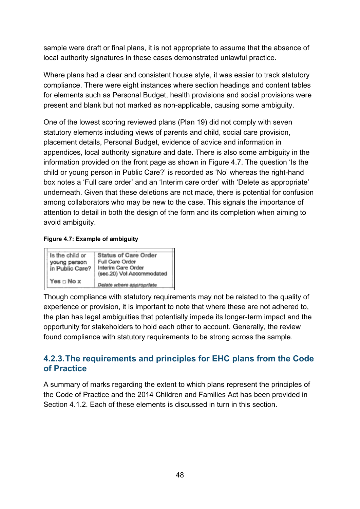sample were draft or final plans, it is not appropriate to assume that the absence of local authority signatures in these cases demonstrated unlawful practice.

Where plans had a clear and consistent house style, it was easier to track statutory compliance. There were eight instances where section headings and content tables for elements such as Personal Budget, health provisions and social provisions were present and blank but not marked as non-applicable, causing some ambiguity.

One of the lowest scoring reviewed plans (Plan 19) did not comply with seven statutory elements including views of parents and child, social care provision, placement details, Personal Budget, evidence of advice and information in appendices, local authority signature and date. There is also some ambiguity in the information provided on the front page as shown in [Figure 4.7.](#page-47-0) The question 'Is the child or young person in Public Care?' is recorded as 'No' whereas the right-hand box notes a 'Full care order' and an 'Interim care order' with 'Delete as appropriate' underneath. Given that these deletions are not made, there is potential for confusion among collaborators who may be new to the case. This signals the importance of attention to detail in both the design of the form and its completion when aiming to avoid ambiguity.

#### <span id="page-47-0"></span>**Figure 4.7: Example of ambiguity**



Though compliance with statutory requirements may not be related to the quality of experience or provision, it is important to note that where these are not adhered to, the plan has legal ambiguities that potentially impede its longer-term impact and the opportunity for stakeholders to hold each other to account. Generally, the review found compliance with statutory requirements to be strong across the sample.

### **4.2.3.The requirements and principles for EHC plans from the Code of Practice**

A summary of marks regarding the extent to which plans represent the principles of the Code of Practice and the 2014 Children and Families Act has been provided in Section 4.1.2. Each of these elements is discussed in turn in this section.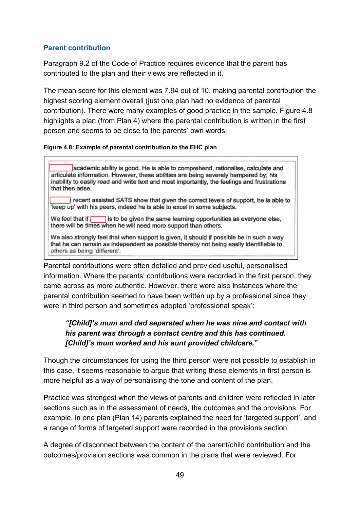#### **Parent contribution**

Paragraph 9.2 of the Code of Practice requires evidence that the parent has contributed to the plan and their views are reflected in it.

The mean score for this element was 7.94 out of 10, making parental contribution the highest scoring element overall (just one plan had no evidence of parental contribution). There were many examples of good practice in the sample. [Figure 4.8](#page-48-0) highlights a plan (from Plan 4) where the parental contribution is written in the first person and seems to be close to the parents' own words.

#### **Figure 4.8: Example of parental contribution to the EHC plan**

<span id="page-48-0"></span>academic ability is good. He is able to comprehend, rationalise, calculate and articulate information. However, these abilities are being severely hampered by; his inability to easily read and write text and most importantly, the feelings and frustrations that then arise.

recent assisted SATS show that given the correct levels of support, he is able to keep up' with his peers, indeed he is able to excel in some subjects.

We feel that if  $\sqrt{\phantom{a}}$  $\blacksquare$  is to be given the same learning opportunities as everyone else. there will be times when he will need more support than others.

We also strongly feel that when support is given, it should if possible be in such a way that he can remain as independent as possible thereby not being easily identifiable to others as being 'different'.

Parental contributions were often detailed and provided useful, personalised information. Where the parents' contributions were recorded in the first person, they came across as more authentic. However, there were also instances where the parental contribution seemed to have been written up by a professional since they were in third person and sometimes adopted 'professional speak':

### *"[Child]'s mum and dad separated when he was nine and contact with his parent was through a contact centre and this has continued. [Child]'s mum worked and his aunt provided childcare.***"**

Though the circumstances for using the third person were not possible to establish in this case, it seems reasonable to argue that writing these elements in first person is more helpful as a way of personalising the tone and content of the plan.

Practice was strongest when the views of parents and children were reflected in later sections such as in the assessment of needs, the outcomes and the provisions. For example, in one plan (Plan 14) parents explained the need for 'targeted support', and a range of forms of targeted support were recorded in the provisions section.

A degree of disconnect between the content of the parent/child contribution and the outcomes/provision sections was common in the plans that were reviewed. For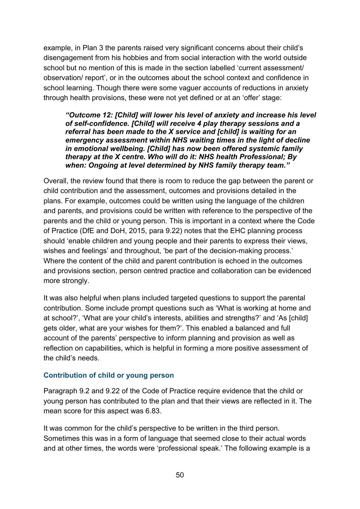example, in Plan 3 the parents raised very significant concerns about their child's disengagement from his hobbies and from social interaction with the world outside school but no mention of this is made in the section labelled 'current assessment/ observation/ report', or in the outcomes about the school context and confidence in school learning. Though there were some vaguer accounts of reductions in anxiety through health provisions, these were not yet defined or at an 'offer' stage:

*"Outcome 12: [Child] will lower his level of anxiety and increase his level of self-confidence. [Child] will receive 4 play therapy sessions and a referral has been made to the X service and [child] is waiting for an emergency assessment within NHS waiting times in the light of decline in emotional wellbeing. [Child] has now been offered systemic family therapy at the X centre. Who will do it: NHS health Professional; By when: Ongoing at level determined by NHS family therapy team."*

Overall, the review found that there is room to reduce the gap between the parent or child contribution and the assessment, outcomes and provisions detailed in the plans. For example, outcomes could be written using the language of the children and parents, and provisions could be written with reference to the perspective of the parents and the child or young person. This is important in a context where the Code of Practice (DfE and DoH, 2015, para 9.22) notes that the EHC planning process should 'enable children and young people and their parents to express their views, wishes and feelings' and throughout, 'be part of the decision-making process.' Where the content of the child and parent contribution is echoed in the outcomes and provisions section, person centred practice and collaboration can be evidenced more strongly.

It was also helpful when plans included targeted questions to support the parental contribution. Some include prompt questions such as 'What is working at home and at school?', 'What are your child's interests, abilities and strengths?' and 'As [child] gets older, what are your wishes for them?'. This enabled a balanced and full account of the parents' perspective to inform planning and provision as well as reflection on capabilities, which is helpful in forming a more positive assessment of the child's needs.

#### **Contribution of child or young person**

Paragraph 9.2 and 9.22 of the Code of Practice require evidence that the child or young person has contributed to the plan and that their views are reflected in it. The mean score for this aspect was 6.83.

It was common for the child's perspective to be written in the third person. Sometimes this was in a form of language that seemed close to their actual words and at other times, the words were 'professional speak.' The following example is a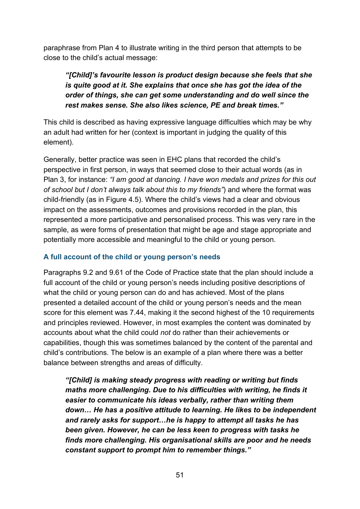paraphrase from Plan 4 to illustrate writing in the third person that attempts to be close to the child's actual message:

### *"[Child]'s favourite lesson is product design because she feels that she is quite good at it. She explains that once she has got the idea of the order of things, she can get some understanding and do well since the rest makes sense. She also likes science, PE and break times."*

This child is described as having expressive language difficulties which may be why an adult had written for her (context is important in judging the quality of this element).

Generally, better practice was seen in EHC plans that recorded the child's perspective in first person, in ways that seemed close to their actual words (as in Plan 3, for instance: *"I am good at dancing. I have won medals and prizes for this out of school but I don't always talk about this to my friends"*) and where the format was child-friendly (as in [Figure 4.5\)](#page-44-0). Where the child's views had a clear and obvious impact on the assessments, outcomes and provisions recorded in the plan, this represented a more participative and personalised process. This was very rare in the sample, as were forms of presentation that might be age and stage appropriate and potentially more accessible and meaningful to the child or young person.

#### **A full account of the child or young person's needs**

Paragraphs 9.2 and 9.61 of the Code of Practice state that the plan should include a full account of the child or young person's needs including positive descriptions of what the child or young person can do and has achieved. Most of the plans presented a detailed account of the child or young person's needs and the mean score for this element was 7.44, making it the second highest of the 10 requirements and principles reviewed. However, in most examples the content was dominated by accounts about what the child could *not* do rather than their achievements or capabilities, though this was sometimes balanced by the content of the parental and child's contributions. The below is an example of a plan where there was a better balance between strengths and areas of difficulty.

*"[Child] is making steady progress with reading or writing but finds maths more challenging. Due to his difficulties with writing, he finds it easier to communicate his ideas verbally, rather than writing them down… He has a positive attitude to learning. He likes to be independent and rarely asks for support…he is happy to attempt all tasks he has been given. However, he can be less keen to progress with tasks he finds more challenging. His organisational skills are poor and he needs constant support to prompt him to remember things."*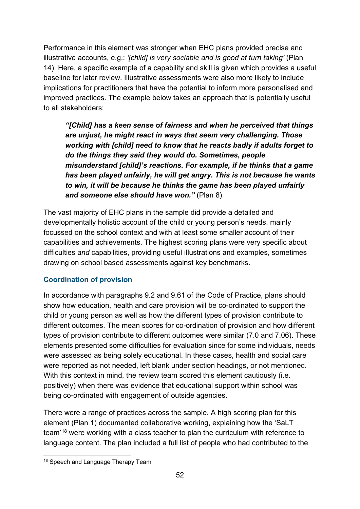Performance in this element was stronger when EHC plans provided precise and illustrative accounts, e.g.: *'[child] is very sociable and is good at turn taking'* (Plan 14). Here, a specific example of a capability and skill is given which provides a useful baseline for later review. Illustrative assessments were also more likely to include implications for practitioners that have the potential to inform more personalised and improved practices. The example below takes an approach that is potentially useful to all stakeholders:

*"[Child] has a keen sense of fairness and when he perceived that things are unjust, he might react in ways that seem very challenging. Those working with [child] need to know that he reacts badly if adults forget to do the things they said they would do. Sometimes, people misunderstand [child]'s reactions. For example, if he thinks that a game has been played unfairly, he will get angry. This is not because he wants to win, it will be because he thinks the game has been played unfairly and someone else should have won."* (Plan 8)

The vast majority of EHC plans in the sample did provide a detailed and developmentally holistic account of the child or young person's needs, mainly focussed on the school context and with at least some smaller account of their capabilities and achievements. The highest scoring plans were very specific about difficulties *and* capabilities, providing useful illustrations and examples, sometimes drawing on school based assessments against key benchmarks.

#### **Coordination of provision**

In accordance with paragraphs 9.2 and 9.61 of the Code of Practice, plans should show how education, health and care provision will be co-ordinated to support the child or young person as well as how the different types of provision contribute to different outcomes. The mean scores for co-ordination of provision and how different types of provision contribute to different outcomes were similar (7.0 and 7.06). These elements presented some difficulties for evaluation since for some individuals, needs were assessed as being solely educational. In these cases, health and social care were reported as not needed, left blank under section headings, or not mentioned. With this context in mind, the review team scored this element cautiously (i.e. positively) when there was evidence that educational support within school was being co-ordinated with engagement of outside agencies.

There were a range of practices across the sample. A high scoring plan for this element (Plan 1) documented collaborative working, explaining how the 'SaLT team'[18](#page-51-0) were working with a class teacher to plan the curriculum with reference to language content. The plan included a full list of people who had contributed to the

<span id="page-51-0"></span><sup>&</sup>lt;sup>18</sup> Speech and Language Therapy Team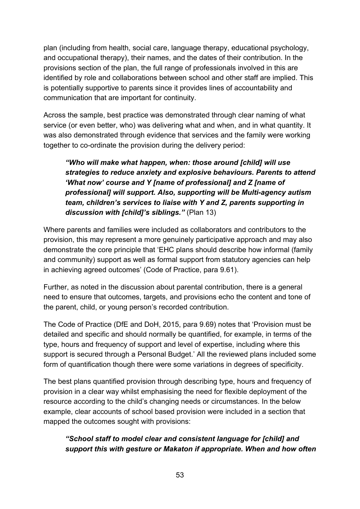plan (including from health, social care, language therapy, educational psychology, and occupational therapy), their names, and the dates of their contribution. In the provisions section of the plan, the full range of professionals involved in this are identified by role and collaborations between school and other staff are implied. This is potentially supportive to parents since it provides lines of accountability and communication that are important for continuity.

Across the sample, best practice was demonstrated through clear naming of what service (or even better, who) was delivering what and when, and in what quantity. It was also demonstrated through evidence that services and the family were working together to co-ordinate the provision during the delivery period:

*"Who will make what happen, when: those around [child] will use strategies to reduce anxiety and explosive behaviours. Parents to attend 'What now' course and Y [name of professional] and Z [name of professional] will support. Also, supporting will be Multi-agency autism team, children's services to liaise with Y and Z, parents supporting in discussion with [child]'s siblings."* (Plan 13)

Where parents and families were included as collaborators and contributors to the provision, this may represent a more genuinely participative approach and may also demonstrate the core principle that 'EHC plans should describe how informal (family and community) support as well as formal support from statutory agencies can help in achieving agreed outcomes' (Code of Practice, para 9.61).

Further, as noted in the discussion about parental contribution, there is a general need to ensure that outcomes, targets, and provisions echo the content and tone of the parent, child, or young person's recorded contribution.

The Code of Practice (DfE and DoH, 2015, para 9.69) notes that 'Provision must be detailed and specific and should normally be quantified, for example, in terms of the type, hours and frequency of support and level of expertise, including where this support is secured through a Personal Budget.' All the reviewed plans included some form of quantification though there were some variations in degrees of specificity.

The best plans quantified provision through describing type, hours and frequency of provision in a clear way whilst emphasising the need for flexible deployment of the resource according to the child's changing needs or circumstances. In the below example, clear accounts of school based provision were included in a section that mapped the outcomes sought with provisions:

#### *"School staff to model clear and consistent language for [child] and support this with gesture or Makaton if appropriate. When and how often*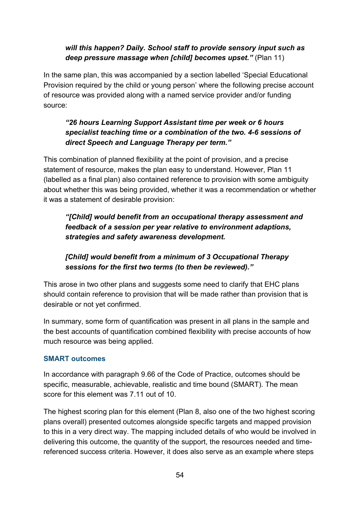#### *will this happen? Daily. School staff to provide sensory input such as deep pressure massage when [child] becomes upset."* (Plan 11)

In the same plan, this was accompanied by a section labelled 'Special Educational Provision required by the child or young person' where the following precise account of resource was provided along with a named service provider and/or funding source:

#### *"26 hours Learning Support Assistant time per week or 6 hours specialist teaching time or a combination of the two. 4-6 sessions of direct Speech and Language Therapy per term."*

This combination of planned flexibility at the point of provision, and a precise statement of resource, makes the plan easy to understand. However, Plan 11 (labelled as a final plan) also contained reference to provision with some ambiguity about whether this was being provided, whether it was a recommendation or whether it was a statement of desirable provision:

*"[Child] would benefit from an occupational therapy assessment and feedback of a session per year relative to environment adaptions, strategies and safety awareness development.*

*[Child] would benefit from a minimum of 3 Occupational Therapy sessions for the first two terms (to then be reviewed)."*

This arose in two other plans and suggests some need to clarify that EHC plans should contain reference to provision that will be made rather than provision that is desirable or not yet confirmed.

In summary, some form of quantification was present in all plans in the sample and the best accounts of quantification combined flexibility with precise accounts of how much resource was being applied.

#### **SMART outcomes**

In accordance with paragraph 9.66 of the Code of Practice, outcomes should be specific, measurable, achievable, realistic and time bound (SMART). The mean score for this element was 7.11 out of 10.

The highest scoring plan for this element (Plan 8, also one of the two highest scoring plans overall) presented outcomes alongside specific targets and mapped provision to this in a very direct way. The mapping included details of who would be involved in delivering this outcome, the quantity of the support, the resources needed and timereferenced success criteria. However, it does also serve as an example where steps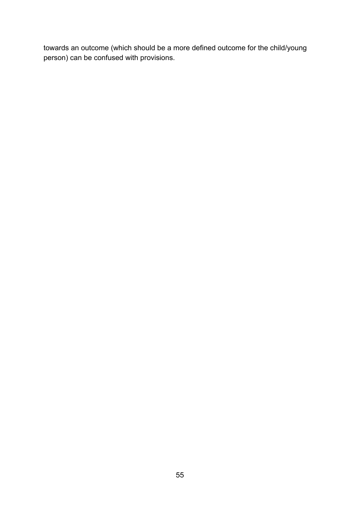towards an outcome (which should be a more defined outcome for the child/young person) can be confused with provisions.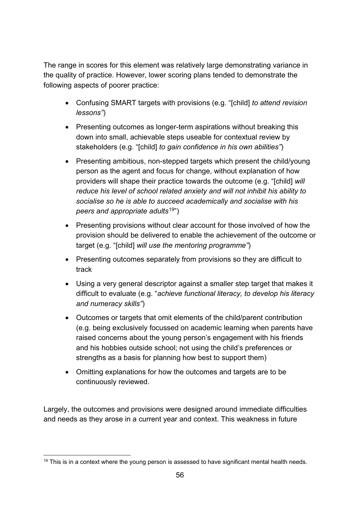The range in scores for this element was relatively large demonstrating variance in the quality of practice. However, lower scoring plans tended to demonstrate the following aspects of poorer practice:

- Confusing SMART targets with provisions (e.g. "[child] *to attend revision lessons"*)
- Presenting outcomes as longer-term aspirations without breaking this down into small, achievable steps useable for contextual review by stakeholders (e.g. "[child] *to gain confidence in his own abilities"*)
- Presenting ambitious, non-stepped targets which present the child/young person as the agent and focus for change, without explanation of how providers will shape their practice towards the outcome (e.g. "[child] *will reduce his level of school related anxiety and will not inhibit his ability to socialise so he is able to succeed academically and socialise with his peers and appropriate adults*[19](#page-55-0)")
- Presenting provisions without clear account for those involved of how the provision should be delivered to enable the achievement of the outcome or target (e.g. "[child] *will use the mentoring programme"*)
- Presenting outcomes separately from provisions so they are difficult to track
- Using a very general descriptor against a smaller step target that makes it difficult to evaluate (e.g. "*achieve functional literacy, to develop his literacy and numeracy skills"*)
- Outcomes or targets that omit elements of the child/parent contribution (e.g. being exclusively focussed on academic learning when parents have raised concerns about the young person's engagement with his friends and his hobbies outside school; not using the child's preferences or strengths as a basis for planning how best to support them)
- Omitting explanations for how the outcomes and targets are to be continuously reviewed.

Largely, the outcomes and provisions were designed around immediate difficulties and needs as they arose in a current year and context. This weakness in future

<span id="page-55-0"></span> $19$  This is in a context where the young person is assessed to have significant mental health needs.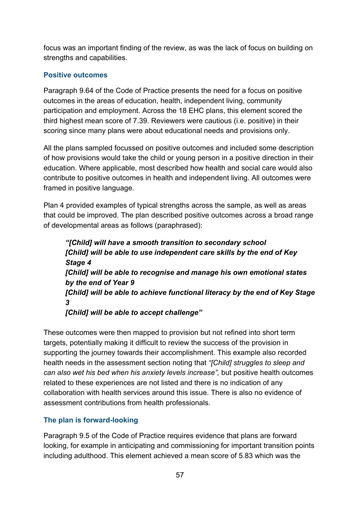focus was an important finding of the review, as was the lack of focus on building on strengths and capabilities.

#### **Positive outcomes**

Paragraph 9.64 of the Code of Practice presents the need for a focus on positive outcomes in the areas of education, health, independent living, community participation and employment. Across the 18 EHC plans, this element scored the third highest mean score of 7.39. Reviewers were cautious (i.e. positive) in their scoring since many plans were about educational needs and provisions only.

All the plans sampled focussed on positive outcomes and included some description of how provisions would take the child or young person in a positive direction in their education. Where applicable, most described how health and social care would also contribute to positive outcomes in health and independent living. All outcomes were framed in positive language.

Plan 4 provided examples of typical strengths across the sample, as well as areas that could be improved. The plan described positive outcomes across a broad range of developmental areas as follows (paraphrased):

*"[Child] will have a smooth transition to secondary school [Child] will be able to use independent care skills by the end of Key Stage 4 [Child] will be able to recognise and manage his own emotional states by the end of Year 9 [Child] will be able to achieve functional literacy by the end of Key Stage 3 [Child] will be able to accept challenge"*

These outcomes were then mapped to provision but not refined into short term targets, potentially making it difficult to review the success of the provision in supporting the journey towards their accomplishment. This example also recorded health needs in the assessment section noting that *"[Child] struggles to sleep and can also wet his bed when his anxiety levels increase",* but positive health outcomes related to these experiences are not listed and there is no indication of any collaboration with health services around this issue. There is also no evidence of assessment contributions from health professionals.

#### **The plan is forward-looking**

Paragraph 9.5 of the Code of Practice requires evidence that plans are forward looking, for example in anticipating and commissioning for important transition points including adulthood. This element achieved a mean score of 5.83 which was the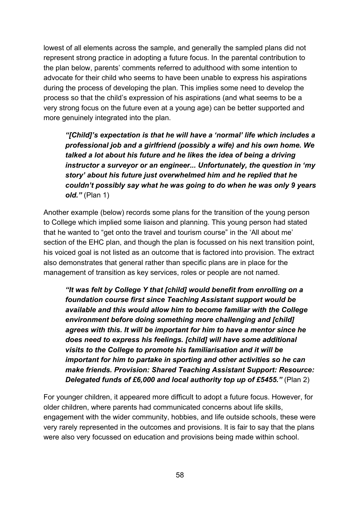lowest of all elements across the sample, and generally the sampled plans did not represent strong practice in adopting a future focus. In the parental contribution to the plan below, parents' comments referred to adulthood with some intention to advocate for their child who seems to have been unable to express his aspirations during the process of developing the plan. This implies some need to develop the process so that the child's expression of his aspirations (and what seems to be a very strong focus on the future even at a young age) can be better supported and more genuinely integrated into the plan.

*"[Child]'s expectation is that he will have a 'normal' life which includes a professional job and a girlfriend (possibly a wife) and his own home. We talked a lot about his future and he likes the idea of being a driving instructor a surveyor or an engineer... Unfortunately, the question in 'my story' about his future just overwhelmed him and he replied that he couldn't possibly say what he was going to do when he was only 9 years old."* (Plan 1)

Another example (below) records some plans for the transition of the young person to College which implied some liaison and planning. This young person had stated that he wanted to "get onto the travel and tourism course" in the 'All about me' section of the EHC plan, and though the plan is focussed on his next transition point, his voiced goal is not listed as an outcome that is factored into provision. The extract also demonstrates that general rather than specific plans are in place for the management of transition as key services, roles or people are not named.

*"It was felt by College Y that [child] would benefit from enrolling on a foundation course first since Teaching Assistant support would be available and this would allow him to become familiar with the College environment before doing something more challenging and [child] agrees with this. It will be important for him to have a mentor since he does need to express his feelings. [child] will have some additional visits to the College to promote his familiarisation and it will be important for him to partake in sporting and other activities so he can make friends. Provision: Shared Teaching Assistant Support: Resource: Delegated funds of £6,000 and local authority top up of £5455."* (Plan 2)

For younger children, it appeared more difficult to adopt a future focus. However, for older children, where parents had communicated concerns about life skills, engagement with the wider community, hobbies, and life outside schools, these were very rarely represented in the outcomes and provisions. It is fair to say that the plans were also very focussed on education and provisions being made within school.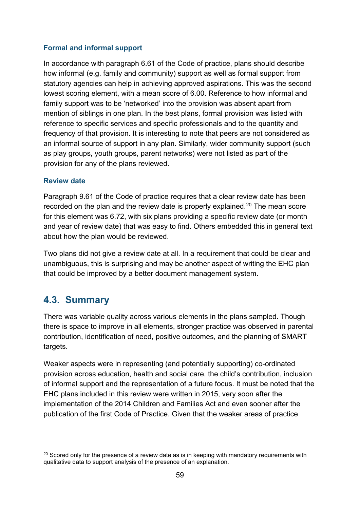#### **Formal and informal support**

In accordance with paragraph 6.61 of the Code of practice, plans should describe how informal (e.g. family and community) support as well as formal support from statutory agencies can help in achieving approved aspirations. This was the second lowest scoring element, with a mean score of 6.00. Reference to how informal and family support was to be 'networked' into the provision was absent apart from mention of siblings in one plan. In the best plans, formal provision was listed with reference to specific services and specific professionals and to the quantity and frequency of that provision. It is interesting to note that peers are not considered as an informal source of support in any plan. Similarly, wider community support (such as play groups, youth groups, parent networks) were not listed as part of the provision for any of the plans reviewed.

#### **Review date**

Paragraph 9.61 of the Code of practice requires that a clear review date has been recorded on the plan and the review date is properly explained.<sup>[20](#page-58-0)</sup> The mean score for this element was 6.72, with six plans providing a specific review date (or month and year of review date) that was easy to find. Others embedded this in general text about how the plan would be reviewed.

Two plans did not give a review date at all. In a requirement that could be clear and unambiguous, this is surprising and may be another aspect of writing the EHC plan that could be improved by a better document management system.

### **4.3. Summary**

There was variable quality across various elements in the plans sampled. Though there is space to improve in all elements, stronger practice was observed in parental contribution, identification of need, positive outcomes, and the planning of SMART targets.

Weaker aspects were in representing (and potentially supporting) co-ordinated provision across education, health and social care, the child's contribution, inclusion of informal support and the representation of a future focus. It must be noted that the EHC plans included in this review were written in 2015, very soon after the implementation of the 2014 Children and Families Act and even sooner after the publication of the first Code of Practice. Given that the weaker areas of practice

<span id="page-58-0"></span> $20$  Scored only for the presence of a review date as is in keeping with mandatory requirements with qualitative data to support analysis of the presence of an explanation.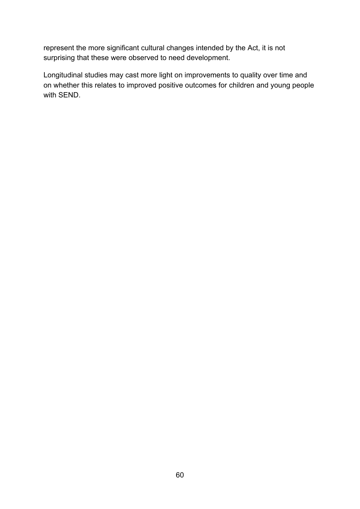represent the more significant cultural changes intended by the Act, it is not surprising that these were observed to need development.

Longitudinal studies may cast more light on improvements to quality over time and on whether this relates to improved positive outcomes for children and young people with SEND.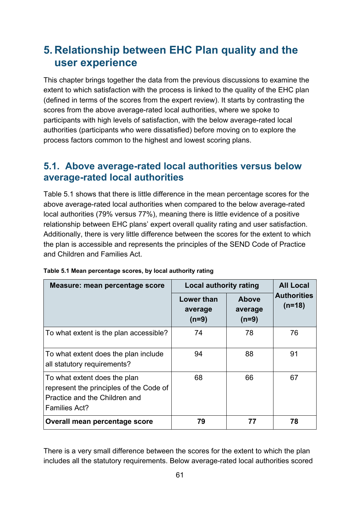# **5. Relationship between EHC Plan quality and the user experience**

This chapter brings together the data from the previous discussions to examine the extent to which satisfaction with the process is linked to the quality of the EHC plan (defined in terms of the scores from the expert review). It starts by contrasting the scores from the above average-rated local authorities, where we spoke to participants with high levels of satisfaction, with the below average-rated local authorities (participants who were dissatisfied) before moving on to explore the process factors common to the highest and lowest scoring plans.

### **5.1. Above average-rated local authorities versus below average-rated local authorities**

[Table 5.1](#page-60-0) shows that there is little difference in the mean percentage scores for the above average-rated local authorities when compared to the below average-rated local authorities (79% versus 77%), meaning there is little evidence of a positive relationship between EHC plans' expert overall quality rating and user satisfaction. Additionally, there is very little difference between the scores for the extent to which the plan is accessible and represents the principles of the SEND Code of Practice and Children and Families Act.

| Measure: mean percentage score                                                                                                   | <b>Local authority rating</b>           |                                    | <b>All Local</b>               |
|----------------------------------------------------------------------------------------------------------------------------------|-----------------------------------------|------------------------------------|--------------------------------|
|                                                                                                                                  | <b>Lower than</b><br>average<br>$(n=9)$ | <b>Above</b><br>average<br>$(n=9)$ | <b>Authorities</b><br>$(n=18)$ |
| To what extent is the plan accessible?                                                                                           | 74                                      | 78                                 | 76                             |
| To what extent does the plan include<br>all statutory requirements?                                                              | 94                                      | 88                                 | 91                             |
| To what extent does the plan<br>represent the principles of the Code of<br>Practice and the Children and<br><b>Families Act?</b> | 68                                      | 66                                 | 67                             |
| Overall mean percentage score                                                                                                    | 79                                      | 77                                 | 78                             |

#### <span id="page-60-0"></span>**Table 5.1 Mean percentage scores, by local authority rating**

There is a very small difference between the scores for the extent to which the plan includes all the statutory requirements. Below average-rated local authorities scored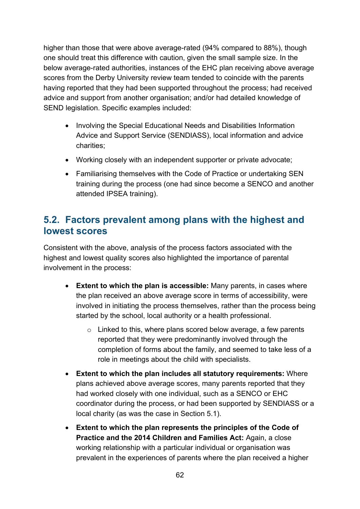higher than those that were above average-rated (94% compared to 88%), though one should treat this difference with caution, given the small sample size. In the below average-rated authorities, instances of the EHC plan receiving above average scores from the Derby University review team tended to coincide with the parents having reported that they had been supported throughout the process; had received advice and support from another organisation; and/or had detailed knowledge of SEND legislation. Specific examples included:

- Involving the Special Educational Needs and Disabilities Information Advice and Support Service (SENDIASS), local information and advice charities;
- Working closely with an independent supporter or private advocate;
- Familiarising themselves with the Code of Practice or undertaking SEN training during the process (one had since become a SENCO and another attended IPSEA training).

### **5.2. Factors prevalent among plans with the highest and lowest scores**

Consistent with the above, analysis of the process factors associated with the highest and lowest quality scores also highlighted the importance of parental involvement in the process:

- **Extent to which the plan is accessible:** Many parents, in cases where the plan received an above average score in terms of accessibility, were involved in initiating the process themselves, rather than the process being started by the school, local authority or a health professional.
	- $\circ$  Linked to this, where plans scored below average, a few parents reported that they were predominantly involved through the completion of forms about the family, and seemed to take less of a role in meetings about the child with specialists.
- **Extent to which the plan includes all statutory requirements:** Where plans achieved above average scores, many parents reported that they had worked closely with one individual, such as a SENCO or EHC coordinator during the process, or had been supported by SENDIASS or a local charity (as was the case in Section 5.1).
- **Extent to which the plan represents the principles of the Code of Practice and the 2014 Children and Families Act:** Again, a close working relationship with a particular individual or organisation was prevalent in the experiences of parents where the plan received a higher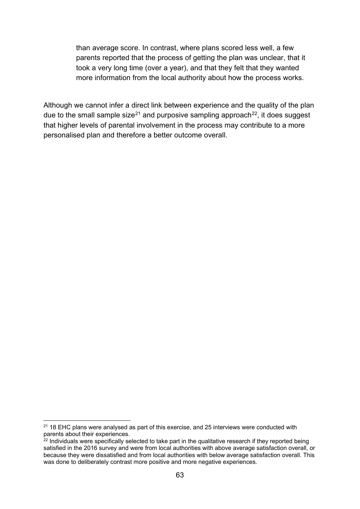than average score. In contrast, where plans scored less well, a few parents reported that the process of getting the plan was unclear, that it took a very long time (over a year), and that they felt that they wanted more information from the local authority about how the process works.

Although we cannot infer a direct link between experience and the quality of the plan due to the small sample size<sup>[21](#page-62-0)</sup> and purposive sampling approach<sup>22</sup>, it does suggest that higher levels of parental involvement in the process may contribute to a more personalised plan and therefore a better outcome overall.

<span id="page-62-0"></span> $21$  18 EHC plans were analysed as part of this exercise, and 25 interviews were conducted with parents about their experiences.

<span id="page-62-1"></span> $22$  Individuals were specifically selected to take part in the qualitative research if they reported being satisfied in the 2016 survey and were from local authorities with above average satisfaction overall, or because they were dissatisfied and from local authorities with below average satisfaction overall. This was done to deliberately contrast more positive and more negative experiences.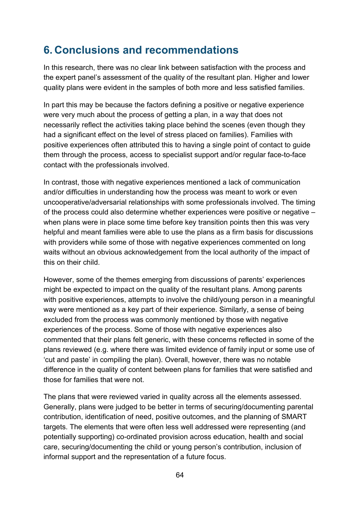# **6. Conclusions and recommendations**

In this research, there was no clear link between satisfaction with the process and the expert panel's assessment of the quality of the resultant plan. Higher and lower quality plans were evident in the samples of both more and less satisfied families.

In part this may be because the factors defining a positive or negative experience were very much about the process of getting a plan, in a way that does not necessarily reflect the activities taking place behind the scenes (even though they had a significant effect on the level of stress placed on families). Families with positive experiences often attributed this to having a single point of contact to guide them through the process, access to specialist support and/or regular face-to-face contact with the professionals involved.

In contrast, those with negative experiences mentioned a lack of communication and/or difficulties in understanding how the process was meant to work or even uncooperative/adversarial relationships with some professionals involved. The timing of the process could also determine whether experiences were positive or negative – when plans were in place some time before key transition points then this was very helpful and meant families were able to use the plans as a firm basis for discussions with providers while some of those with negative experiences commented on long waits without an obvious acknowledgement from the local authority of the impact of this on their child.

However, some of the themes emerging from discussions of parents' experiences might be expected to impact on the quality of the resultant plans. Among parents with positive experiences, attempts to involve the child/young person in a meaningful way were mentioned as a key part of their experience. Similarly, a sense of being excluded from the process was commonly mentioned by those with negative experiences of the process. Some of those with negative experiences also commented that their plans felt generic, with these concerns reflected in some of the plans reviewed (e.g. where there was limited evidence of family input or some use of 'cut and paste' in compiling the plan). Overall, however, there was no notable difference in the quality of content between plans for families that were satisfied and those for families that were not.

The plans that were reviewed varied in quality across all the elements assessed. Generally, plans were judged to be better in terms of securing/documenting parental contribution, identification of need, positive outcomes, and the planning of SMART targets. The elements that were often less well addressed were representing (and potentially supporting) co-ordinated provision across education, health and social care, securing/documenting the child or young person's contribution, inclusion of informal support and the representation of a future focus.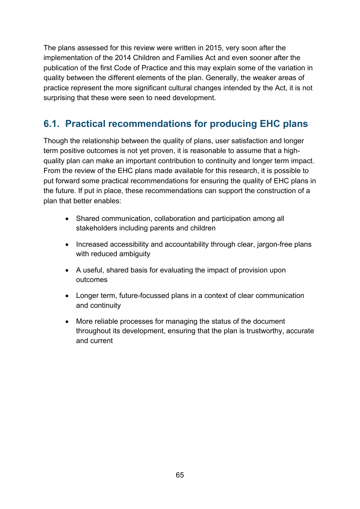The plans assessed for this review were written in 2015, very soon after the implementation of the 2014 Children and Families Act and even sooner after the publication of the first Code of Practice and this may explain some of the variation in quality between the different elements of the plan. Generally, the weaker areas of practice represent the more significant cultural changes intended by the Act, it is not surprising that these were seen to need development.

### **6.1. Practical recommendations for producing EHC plans**

Though the relationship between the quality of plans, user satisfaction and longer term positive outcomes is not yet proven, it is reasonable to assume that a highquality plan can make an important contribution to continuity and longer term impact. From the review of the EHC plans made available for this research, it is possible to put forward some practical recommendations for ensuring the quality of EHC plans in the future. If put in place, these recommendations can support the construction of a plan that better enables:

- Shared communication, collaboration and participation among all stakeholders including parents and children
- Increased accessibility and accountability through clear, jargon-free plans with reduced ambiguity
- A useful, shared basis for evaluating the impact of provision upon outcomes
- Longer term, future-focussed plans in a context of clear communication and continuity
- More reliable processes for managing the status of the document throughout its development, ensuring that the plan is trustworthy, accurate and current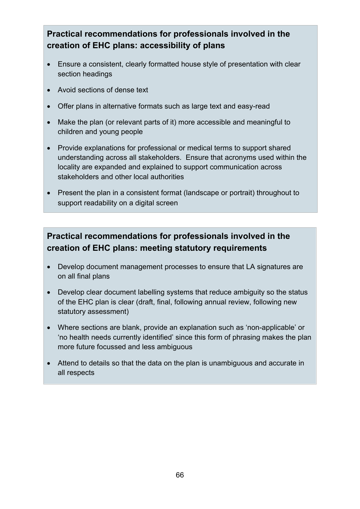### **Practical recommendations for professionals involved in the creation of EHC plans: accessibility of plans**

- Ensure a consistent, clearly formatted house style of presentation with clear section headings
- Avoid sections of dense text
- Offer plans in alternative formats such as large text and easy-read
- Make the plan (or relevant parts of it) more accessible and meaningful to children and young people
- Provide explanations for professional or medical terms to support shared understanding across all stakeholders. Ensure that acronyms used within the locality are expanded and explained to support communication across stakeholders and other local authorities
- Present the plan in a consistent format (landscape or portrait) throughout to support readability on a digital screen

### **Practical recommendations for professionals involved in the creation of EHC plans: meeting statutory requirements**

- Develop document management processes to ensure that LA signatures are on all final plans
- Develop clear document labelling systems that reduce ambiguity so the status of the EHC plan is clear (draft, final, following annual review, following new statutory assessment)
- Where sections are blank, provide an explanation such as 'non-applicable' or 'no health needs currently identified' since this form of phrasing makes the plan more future focussed and less ambiguous
- Attend to details so that the data on the plan is unambiguous and accurate in all respects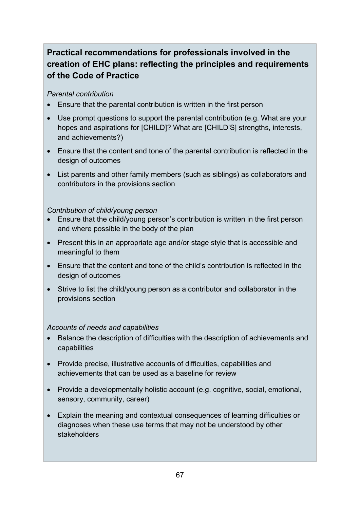### **Practical recommendations for professionals involved in the creation of EHC plans: reflecting the principles and requirements of the Code of Practice**

#### *Parental contribution*

- Ensure that the parental contribution is written in the first person
- Use prompt questions to support the parental contribution (e.g. What are your hopes and aspirations for [CHILD]? What are [CHILD'S] strengths, interests, and achievements?)
- Ensure that the content and tone of the parental contribution is reflected in the design of outcomes
- List parents and other family members (such as siblings) as collaborators and contributors in the provisions section

#### *Contribution of child/young person*

- Ensure that the child/young person's contribution is written in the first person and where possible in the body of the plan
- Present this in an appropriate age and/or stage style that is accessible and meaningful to them
- Ensure that the content and tone of the child's contribution is reflected in the design of outcomes
- Strive to list the child/young person as a contributor and collaborator in the provisions section

#### *Accounts of needs and capabilities*

- Balance the description of difficulties with the description of achievements and capabilities
- Provide precise, illustrative accounts of difficulties, capabilities and achievements that can be used as a baseline for review
- Provide a developmentally holistic account (e.g. cognitive, social, emotional, sensory, community, career)
- Explain the meaning and contextual consequences of learning difficulties or diagnoses when these use terms that may not be understood by other stakeholders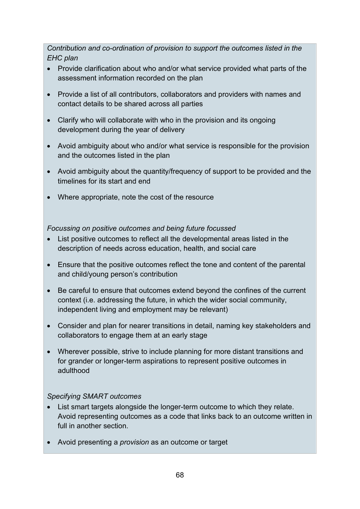*Contribution and co-ordination of provision to support the outcomes listed in the EHC plan*

- Provide clarification about who and/or what service provided what parts of the assessment information recorded on the plan
- Provide a list of all contributors, collaborators and providers with names and contact details to be shared across all parties
- Clarify who will collaborate with who in the provision and its ongoing development during the year of delivery
- Avoid ambiguity about who and/or what service is responsible for the provision and the outcomes listed in the plan
- Avoid ambiguity about the quantity/frequency of support to be provided and the timelines for its start and end
- Where appropriate, note the cost of the resource

*Focussing on positive outcomes and being future focussed*

- List positive outcomes to reflect all the developmental areas listed in the description of needs across education, health, and social care
- Ensure that the positive outcomes reflect the tone and content of the parental and child/young person's contribution
- Be careful to ensure that outcomes extend beyond the confines of the current context (i.e. addressing the future, in which the wider social community, independent living and employment may be relevant)
- Consider and plan for nearer transitions in detail, naming key stakeholders and collaborators to engage them at an early stage
- Wherever possible, strive to include planning for more distant transitions and for grander or longer-term aspirations to represent positive outcomes in adulthood

#### *Specifying SMART outcomes*

- List smart targets alongside the longer-term outcome to which they relate. Avoid representing outcomes as a code that links back to an outcome written in full in another section.
- Avoid presenting a *provision* as an outcome or target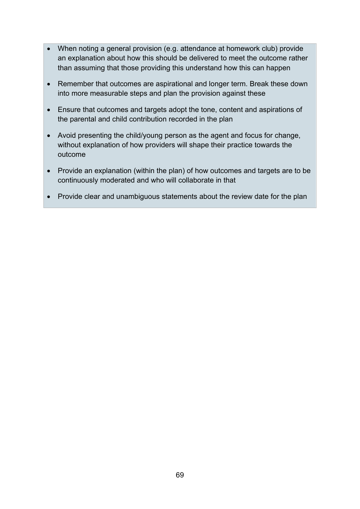- When noting a general provision (e.g. attendance at homework club) provide an explanation about how this should be delivered to meet the outcome rather than assuming that those providing this understand how this can happen
- Remember that outcomes are aspirational and longer term. Break these down into more measurable steps and plan the provision against these
- Ensure that outcomes and targets adopt the tone, content and aspirations of the parental and child contribution recorded in the plan
- Avoid presenting the child/young person as the agent and focus for change, without explanation of how providers will shape their practice towards the outcome
- Provide an explanation (within the plan) of how outcomes and targets are to be continuously moderated and who will collaborate in that
- Provide clear and unambiguous statements about the review date for the plan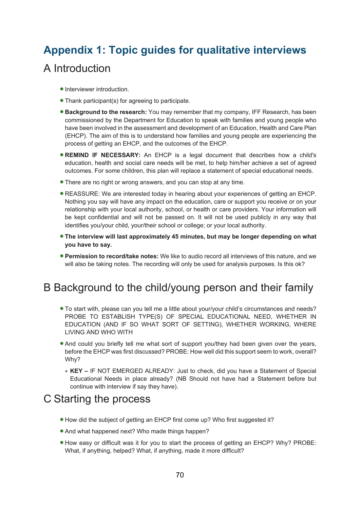# **Appendix 1: Topic guides for qualitative interviews**  A Introduction

- Interviewer introduction.
- Thank participant(s) for agreeing to participate.
- **Background to the research:** You may remember that my company, IFF Research, has been commissioned by the Department for Education to speak with families and young people who have been involved in the assessment and development of an Education, Health and Care Plan (EHCP). The aim of this is to understand how families and young people are experiencing the process of getting an EHCP, and the outcomes of the EHCP.
- **REMIND IF NECESSARY:** An EHCP is a legal document that describes how a child's education, health and social care needs will be met, to help him/her achieve a set of agreed outcomes. For some children, this plan will replace a statement of special educational needs.
- There are no right or wrong answers, and you can stop at any time.
- REASSURE: We are interested today in hearing about your experiences of getting an EHCP. Nothing you say will have any impact on the education, care or support you receive or on your relationship with your local authority, school, or health or care providers. Your information will be kept confidential and will not be passed on. It will not be used publicly in any way that identifies you/your child, your/their school or college; or your local authority.
- **The interview will last approximately 45 minutes, but may be longer depending on what you have to say.**
- **Permission to record/take notes:** We like to audio record all interviews of this nature, and we will also be taking notes. The recording will only be used for analysis purposes. Is this ok?

### B Background to the child/young person and their family

- To start with, please can you tell me a little about your/your child's circumstances and needs? PROBE TO ESTABLISH TYPE(S) OF SPECIAL EDUCATIONAL NEED, WHETHER IN EDUCATION (AND IF SO WHAT SORT OF SETTING), WHETHER WORKING, WHERE LIVING AND WHO WITH
- And could you briefly tell me what sort of support you/they had been given over the years, before the EHCP was first discussed? PROBE: How well did this support seem to work, overall? Why?
	- **KEY –** IF NOT EMERGED ALREADY: Just to check, did you have a Statement of Special Educational Needs in place already? (NB Should not have had a Statement before but continue with interview if say they have).

### C Starting the process

- How did the subject of getting an EHCP first come up? Who first suggested it?
- And what happened next? Who made things happen?
- How easy or difficult was it for you to start the process of getting an EHCP? Why? PROBE: What, if anything, helped? What, if anything, made it more difficult?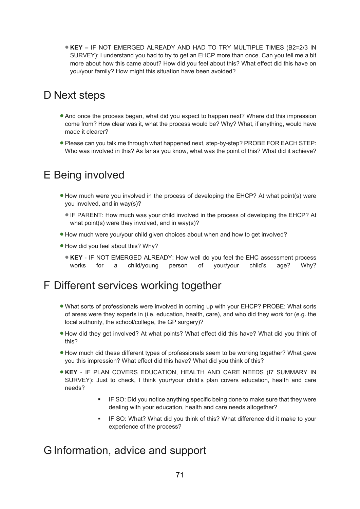• **KEY –** IF NOT EMERGED ALREADY AND HAD TO TRY MULTIPLE TIMES (B2=2/3 IN SURVEY): I understand you had to try to get an EHCP more than once. Can you tell me a bit more about how this came about? How did you feel about this? What effect did this have on you/your family? How might this situation have been avoided?

## D Next steps

- And once the process began, what did you expect to happen next? Where did this impression come from? How clear was it, what the process would be? Why? What, if anything, would have made it clearer?
- Please can you talk me through what happened next, step-by-step? PROBE FOR EACH STEP: Who was involved in this? As far as you know, what was the point of this? What did it achieve?

## E Being involved

- How much were you involved in the process of developing the EHCP? At what point(s) were you involved, and in way(s)?
	- IF PARENT: How much was your child involved in the process of developing the EHCP? At what point(s) were they involved, and in way(s)?
- How much were you/your child given choices about when and how to get involved?
- How did you feel about this? Why?
	- **KEY** IF NOT EMERGED ALREADY: How well do you feel the EHC assessment process works for a child/young person of your/your child's age? Why?

### F Different services working together

- What sorts of professionals were involved in coming up with your EHCP? PROBE: What sorts of areas were they experts in (i.e. education, health, care), and who did they work for (e.g. the local authority, the school/college, the GP surgery)?
- How did they get involved? At what points? What effect did this have? What did you think of this?
- How much did these different types of professionals seem to be working together? What gave you this impression? What effect did this have? What did you think of this?
- **KEY** IF PLAN COVERS EDUCATION, HEALTH AND CARE NEEDS (I7 SUMMARY IN SURVEY): Just to check, I think your/your child's plan covers education, health and care needs?
	- **IF SO: Did you notice anything specific being done to make sure that they were** dealing with your education, health and care needs altogether?
	- **F** IF SO: What? What did you think of this? What difference did it make to your experience of the process?

### G Information, advice and support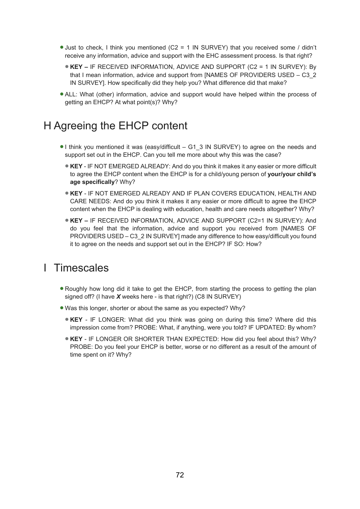- Just to check, I think you mentioned (C2 = 1 IN SURVEY) that you received some / didn't receive any information, advice and support with the EHC assessment process. Is that right?
	- **KEY –** IF RECEIVED INFORMATION, ADVICE AND SUPPORT (C2 = 1 IN SURVEY): By that I mean information, advice and support from [NAMES OF PROVIDERS USED – C3\_2 IN SURVEY]. How specifically did they help you? What difference did that make?
- ALL: What (other) information, advice and support would have helped within the process of getting an EHCP? At what point(s)? Why?

### H Agreeing the EHCP content

- I think you mentioned it was (easy/difficult G1\_3 IN SURVEY) to agree on the needs and support set out in the EHCP. Can you tell me more about why this was the case?
	- **KEY** IF NOT EMERGED ALREADY: And do you think it makes it any easier or more difficult to agree the EHCP content when the EHCP is for a child/young person of **your/your child's age specifically**? Why?
	- **KEY** IF NOT EMERGED ALREADY AND IF PLAN COVERS EDUCATION, HEALTH AND CARE NEEDS: And do you think it makes it any easier or more difficult to agree the EHCP content when the EHCP is dealing with education, health and care needs altogether? Why?
	- **KEY –** IF RECEIVED INFORMATION, ADVICE AND SUPPORT (C2=1 IN SURVEY): And do you feel that the information, advice and support you received from [NAMES OF PROVIDERS USED – C3\_2 IN SURVEY] made any difference to how easy/difficult you found it to agree on the needs and support set out in the EHCP? IF SO: How?

### I Timescales

- Roughly how long did it take to get the EHCP, from starting the process to getting the plan signed off? (I have *X* weeks here - is that right?) (C8 IN SURVEY)
- Was this longer, shorter or about the same as you expected? Why?
	- **KEY** IF LONGER: What did you think was going on during this time? Where did this impression come from? PROBE: What, if anything, were you told? IF UPDATED: By whom?
	- **KEY** IF LONGER OR SHORTER THAN EXPECTED: How did you feel about this? Why? PROBE: Do you feel your EHCP is better, worse or no different as a result of the amount of time spent on it? Why?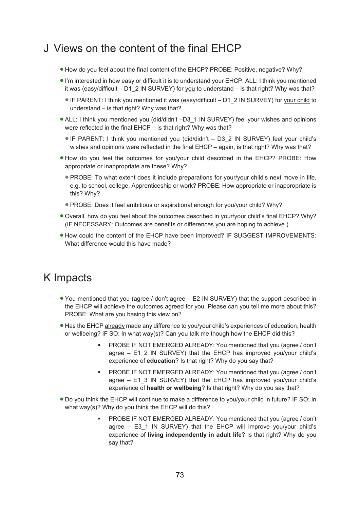## J Views on the content of the final EHCP

- How do you feel about the final content of the EHCP? PROBE: Positive, negative? Why?
- I'm interested in how easy or difficult it is to understand your EHCP. ALL: I think you mentioned it was (easy/difficult – D1\_2 IN SURVEY) for you to understand – is that right? Why was that?
	- IF PARENT: I think you mentioned it was (easy/difficult D1\_2 IN SURVEY) for your child to understand – is that right? Why was that?
- ALL: I think you mentioned you (did/didn't –D3\_1 IN SURVEY) feel your wishes and opinions were reflected in the final EHCP – is that right? Why was that?
	- IF PARENT: I think you mentioned you (did/didn't D3\_2 IN SURVEY) feel your child's wishes and opinions were reflected in the final EHCP – again, is that right? Why was that?
- How do you feel the outcomes for you/your child described in the EHCP? PROBE: How appropriate or inappropriate are these? Why?
	- PROBE: To what extent does it include preparations for your/your child's next move in life, e.g. to school, college, Apprenticeship or work? PROBE: How appropriate or inappropriate is this? Why?
	- PROBE: Does it feel ambitious or aspirational enough for you/your child? Why?
- Overall, how do you feel about the outcomes described in your/your child's final EHCP? Why? (IF NECESSARY: Outcomes are benefits or differences you are hoping to achieve.)
- How could the content of the EHCP have been improved? IF SUGGEST IMPROVEMENTS: What difference would this have made?

## K Impacts

- You mentioned that you (agree / don't agree E2 IN SURVEY) that the support described in the EHCP will achieve the outcomes agreed for you. Please can you tell me more about this? PROBE: What are you basing this view on?
- Has the EHCP already made any difference to you/your child's experiences of education, health or wellbeing? IF SO: In what way(s)? Can you talk me though how the EHCP did this?
	- PROBE IF NOT EMERGED ALREADY: You mentioned that you (agree / don't agree – E1\_2 IN SURVEY) that the EHCP has improved you/your child's experience of **education**? Is that right? Why do you say that?
	- PROBE IF NOT EMERGED ALREADY: You mentioned that you (agree / don't agree  $-$  E1\_3 IN SURVEY) that the EHCP has improved you/your child's experience of **health or wellbeing**? Is that right? Why do you say that?
- Do you think the EHCP will continue to make a difference to you/your child in future? IF SO: In what way(s)? Why do you think the EHCP will do this?
	- PROBE IF NOT EMERGED ALREADY: You mentioned that you (agree / don't agree – E3\_1 IN SURVEY) that the EHCP will improve you/your child's experience of **living independently in adult life**? Is that right? Why do you say that?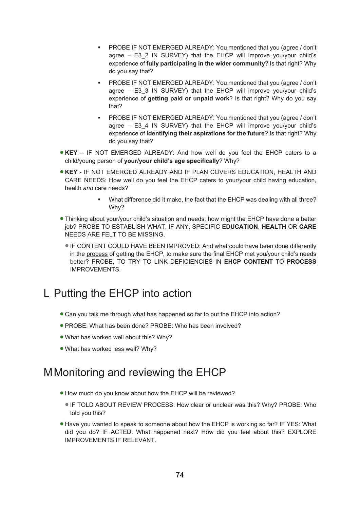- PROBE IF NOT EMERGED ALREADY: You mentioned that you (agree / don't agree – E3\_2 IN SURVEY) that the EHCP will improve you/your child's experience of **fully participating in the wider community**? Is that right? Why do you say that?
- PROBE IF NOT EMERGED ALREADY: You mentioned that you (agree / don't agree – E3\_3 IN SURVEY) that the EHCP will improve you/your child's experience of **getting paid or unpaid work**? Is that right? Why do you say that?
- PROBE IF NOT EMERGED ALREADY: You mentioned that you (agree / don't agree – E3\_4 IN SURVEY) that the EHCP will improve you/your child's experience of **identifying their aspirations for the future**? Is that right? Why do you say that?
- **KEY** IF NOT EMERGED ALREADY: And how well do you feel the EHCP caters to a child/young person of **your/your child's age specifically**? Why?
- **KEY** IF NOT EMERGED ALREADY AND IF PLAN COVERS EDUCATION, HEALTH AND CARE NEEDS: How well do you feel the EHCP caters to your/your child having education, health *and* care needs?
	- What difference did it make, the fact that the EHCP was dealing with all three? Why?
- Thinking about your/your child's situation and needs, how might the EHCP have done a better job? PROBE TO ESTABLISH WHAT, IF ANY, SPECIFIC **EDUCATION**, **HEALTH** OR **CARE** NEEDS ARE FELT TO BE MISSING.
	- IF CONTENT COULD HAVE BEEN IMPROVED: And what could have been done differently in the process of getting the EHCP, to make sure the final EHCP met you/your child's needs better? PROBE, TO TRY TO LINK DEFICIENCIES IN **EHCP CONTENT** TO **PROCESS** IMPROVEMENTS.

## L Putting the EHCP into action

- Can you talk me through what has happened so far to put the EHCP into action?
- PROBE: What has been done? PROBE: Who has been involved?
- What has worked well about this? Why?
- What has worked less well? Why?

## MMonitoring and reviewing the EHCP

- How much do you know about how the EHCP will be reviewed?
	- IF TOLD ABOUT REVIEW PROCESS: How clear or unclear was this? Why? PROBE: Who told you this?
- Have you wanted to speak to someone about how the EHCP is working so far? IF YES: What did you do? IF ACTED: What happened next? How did you feel about this? EXPLORE IMPROVEMENTS IF RELEVANT.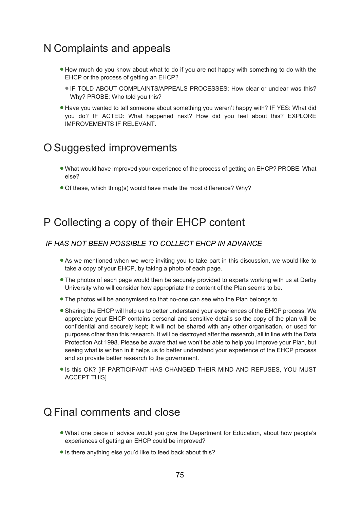## N Complaints and appeals

- How much do you know about what to do if you are not happy with something to do with the EHCP or the process of getting an EHCP?
	- IF TOLD ABOUT COMPLAINTS/APPEALS PROCESSES: How clear or unclear was this? Why? PROBE: Who told you this?
- Have you wanted to tell someone about something you weren't happy with? IF YES: What did you do? IF ACTED: What happened next? How did you feel about this? EXPLORE IMPROVEMENTS IF RELEVANT.

## O Suggested improvements

- What would have improved your experience of the process of getting an EHCP? PROBE: What else?
- Of these, which thing(s) would have made the most difference? Why?

## P Collecting a copy of their EHCP content

#### *IF HAS NOT BEEN POSSIBLE TO COLLECT EHCP IN ADVANCE*

- As we mentioned when we were inviting you to take part in this discussion, we would like to take a copy of your EHCP, by taking a photo of each page.
- The photos of each page would then be securely provided to experts working with us at Derby University who will consider how appropriate the content of the Plan seems to be.
- The photos will be anonymised so that no-one can see who the Plan belongs to.
- Sharing the EHCP will help us to better understand your experiences of the EHCP process. We appreciate your EHCP contains personal and sensitive details so the copy of the plan will be confidential and securely kept; it will not be shared with any other organisation, or used for purposes other than this research. It will be destroyed after the research, all in line with the Data Protection Act 1998. Please be aware that we won't be able to help you improve your Plan, but seeing what is written in it helps us to better understand your experience of the EHCP process and so provide better research to the government.
- Is this OK? [IF PARTICIPANT HAS CHANGED THEIR MIND AND REFUSES, YOU MUST ACCEPT THIS]

### Q Final comments and close

- What one piece of advice would you give the Department for Education, about how people's experiences of getting an EHCP could be improved?
- Is there anything else you'd like to feed back about this?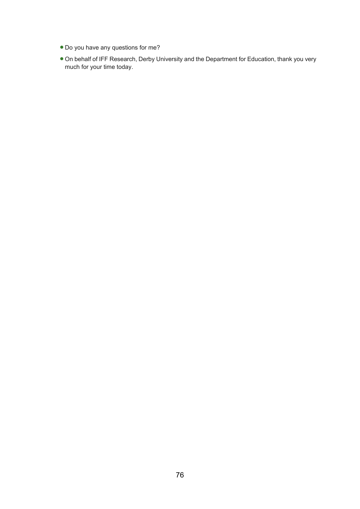- Do you have any questions for me?
- On behalf of IFF Research, Derby University and the Department for Education, thank you very much for your time today.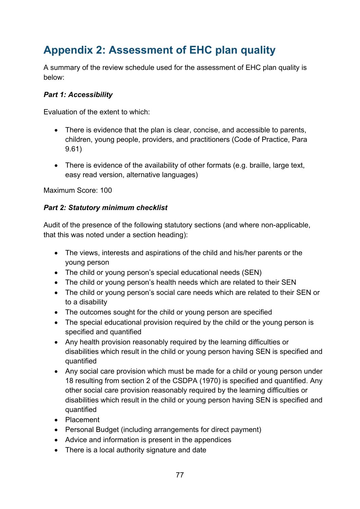## **Appendix 2: Assessment of EHC plan quality**

A summary of the review schedule used for the assessment of EHC plan quality is below:

### *Part 1: Accessibility*

Evaluation of the extent to which:

- There is evidence that the plan is clear, concise, and accessible to parents, children, young people, providers, and practitioners (Code of Practice, Para 9.61)
- There is evidence of the availability of other formats (e.g. braille, large text, easy read version, alternative languages)

Maximum Score: 100

### *Part 2: Statutory minimum checklist*

Audit of the presence of the following statutory sections (and where non-applicable, that this was noted under a section heading):

- The views, interests and aspirations of the child and his/her parents or the young person
- The child or young person's special educational needs (SEN)
- The child or young person's health needs which are related to their SEN
- The child or young person's social care needs which are related to their SEN or to a disability
- The outcomes sought for the child or young person are specified
- The special educational provision required by the child or the young person is specified and quantified
- Any health provision reasonably required by the learning difficulties or disabilities which result in the child or young person having SEN is specified and quantified
- Any social care provision which must be made for a child or young person under 18 resulting from section 2 of the CSDPA (1970) is specified and quantified. Any other social care provision reasonably required by the learning difficulties or disabilities which result in the child or young person having SEN is specified and quantified
- Placement
- Personal Budget (including arrangements for direct payment)
- Advice and information is present in the appendices
- There is a local authority signature and date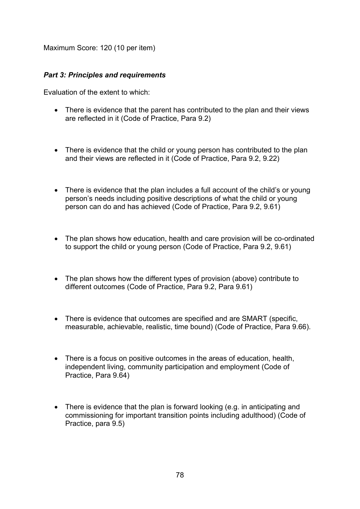Maximum Score: 120 (10 per item)

#### *Part 3: Principles and requirements*

Evaluation of the extent to which:

- There is evidence that the parent has contributed to the plan and their views are reflected in it (Code of Practice, Para 9.2)
- There is evidence that the child or young person has contributed to the plan and their views are reflected in it (Code of Practice, Para 9.2, 9.22)
- There is evidence that the plan includes a full account of the child's or young person's needs including positive descriptions of what the child or young person can do and has achieved (Code of Practice, Para 9.2, 9.61)
- The plan shows how education, health and care provision will be co-ordinated to support the child or young person (Code of Practice, Para 9.2, 9.61)
- The plan shows how the different types of provision (above) contribute to different outcomes (Code of Practice, Para 9.2, Para 9.61)
- There is evidence that outcomes are specified and are SMART (specific, measurable, achievable, realistic, time bound) (Code of Practice, Para 9.66).
- There is a focus on positive outcomes in the areas of education, health, independent living, community participation and employment (Code of Practice, Para 9.64)
- There is evidence that the plan is forward looking (e.g. in anticipating and commissioning for important transition points including adulthood) (Code of Practice, para 9.5)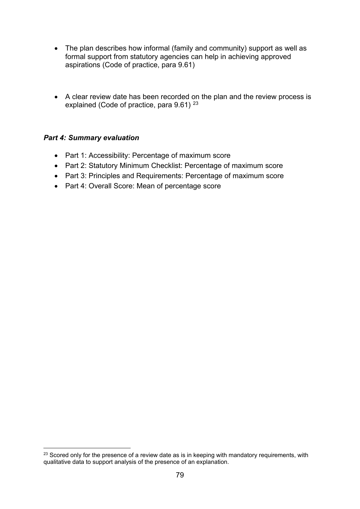- The plan describes how informal (family and community) support as well as formal support from statutory agencies can help in achieving approved aspirations (Code of practice, para 9.61)
- A clear review date has been recorded on the plan and the review process is explained (Code of practice, para 9.61)<sup>[23](#page-78-0)</sup>

### *Part 4: Summary evaluation*

- Part 1: Accessibility: Percentage of maximum score
- Part 2: Statutory Minimum Checklist: Percentage of maximum score
- Part 3: Principles and Requirements: Percentage of maximum score
- Part 4: Overall Score: Mean of percentage score

<span id="page-78-0"></span><sup>&</sup>lt;sup>23</sup> Scored only for the presence of a review date as is in keeping with mandatory requirements, with qualitative data to support analysis of the presence of an explanation.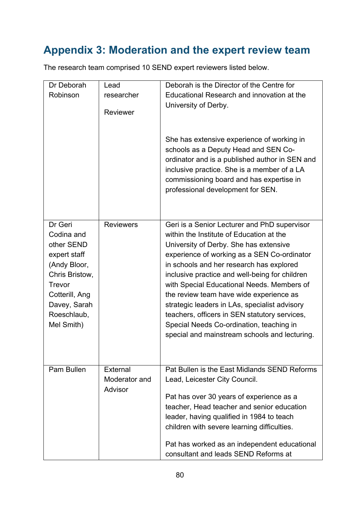# **Appendix 3: Moderation and the expert review team**

| Dr Deborah     | Lead             | Deborah is the Director of the Centre for      |
|----------------|------------------|------------------------------------------------|
| Robinson       | researcher       | Educational Research and innovation at the     |
|                |                  | University of Derby.                           |
|                | <b>Reviewer</b>  |                                                |
|                |                  |                                                |
|                |                  | She has extensive experience of working in     |
|                |                  | schools as a Deputy Head and SEN Co-           |
|                |                  | ordinator and is a published author in SEN and |
|                |                  | inclusive practice. She is a member of a LA    |
|                |                  | commissioning board and has expertise in       |
|                |                  | professional development for SEN.              |
|                |                  |                                                |
|                |                  |                                                |
| Dr Geri        | <b>Reviewers</b> | Geri is a Senior Lecturer and PhD supervisor   |
| Codina and     |                  | within the Institute of Education at the       |
| other SEND     |                  | University of Derby. She has extensive         |
| expert staff   |                  | experience of working as a SEN Co-ordinator    |
| (Andy Bloor,   |                  | in schools and her research has explored       |
| Chris Bristow, |                  | inclusive practice and well-being for children |
| <b>Trevor</b>  |                  | with Special Educational Needs. Members of     |
| Cotterill, Ang |                  | the review team have wide experience as        |
| Davey, Sarah   |                  | strategic leaders in LAs, specialist advisory  |
| Roeschlaub,    |                  | teachers, officers in SEN statutory services,  |
| Mel Smith)     |                  | Special Needs Co-ordination, teaching in       |
|                |                  | special and mainstream schools and lecturing.  |
|                |                  |                                                |
|                |                  |                                                |
| Pam Bullen     | External         | Pat Bullen is the East Midlands SEND Reforms   |
|                | Moderator and    | Lead, Leicester City Council.                  |
|                | Advisor          | Pat has over 30 years of experience as a       |
|                |                  | teacher, Head teacher and senior education     |
|                |                  | leader, having qualified in 1984 to teach      |
|                |                  | children with severe learning difficulties.    |
|                |                  |                                                |
|                |                  | Pat has worked as an independent educational   |
|                |                  | consultant and leads SEND Reforms at           |

The research team comprised 10 SEND expert reviewers listed below.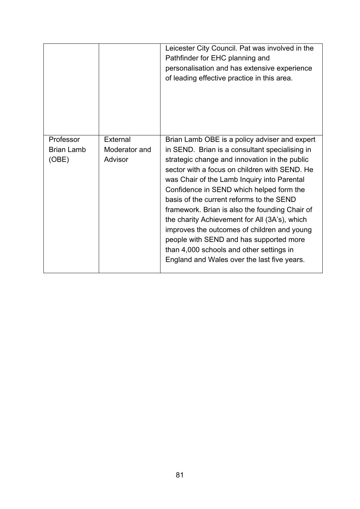|                                         |                                      | Leicester City Council. Pat was involved in the<br>Pathfinder for EHC planning and<br>personalisation and has extensive experience<br>of leading effective practice in this area.                                                                                                                                                                                                                                                                                                                                                                                                                                                |
|-----------------------------------------|--------------------------------------|----------------------------------------------------------------------------------------------------------------------------------------------------------------------------------------------------------------------------------------------------------------------------------------------------------------------------------------------------------------------------------------------------------------------------------------------------------------------------------------------------------------------------------------------------------------------------------------------------------------------------------|
| Professor<br><b>Brian Lamb</b><br>(OBE) | External<br>Moderator and<br>Advisor | Brian Lamb OBE is a policy adviser and expert<br>in SEND. Brian is a consultant specialising in<br>strategic change and innovation in the public<br>sector with a focus on children with SEND. He<br>was Chair of the Lamb Inquiry into Parental<br>Confidence in SEND which helped form the<br>basis of the current reforms to the SEND<br>framework. Brian is also the founding Chair of<br>the charity Achievement for All (3A's), which<br>improves the outcomes of children and young<br>people with SEND and has supported more<br>than 4,000 schools and other settings in<br>England and Wales over the last five years. |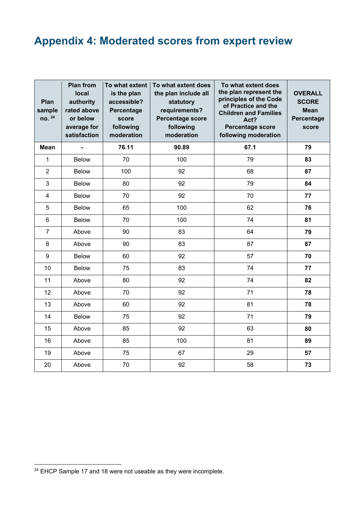# **Appendix 4: Moderated scores from expert review**

| Plan<br>sample<br>no. 24 | <b>Plan from</b><br>local<br>authority<br>rated above<br>or below<br>average for<br>satisfaction | To what extent<br>is the plan<br>accessible?<br>Percentage<br>score<br>following<br>moderation | To what extent does<br>the plan include all<br>statutory<br>requirements?<br>Percentage score<br>following<br>moderation | To what extent does<br>the plan represent the<br>principles of the Code<br>of Practice and the<br><b>Children and Families</b><br>Act?<br><b>Percentage score</b><br>following moderation | <b>OVERALL</b><br><b>SCORE</b><br><b>Mean</b><br>Percentage<br>score |
|--------------------------|--------------------------------------------------------------------------------------------------|------------------------------------------------------------------------------------------------|--------------------------------------------------------------------------------------------------------------------------|-------------------------------------------------------------------------------------------------------------------------------------------------------------------------------------------|----------------------------------------------------------------------|
| <b>Mean</b>              | ÷,                                                                                               | 76.11                                                                                          | 90.89                                                                                                                    | 67.1                                                                                                                                                                                      | 79                                                                   |
| 1                        | <b>Below</b>                                                                                     | 70                                                                                             | 100                                                                                                                      | 79                                                                                                                                                                                        | 83                                                                   |
| $\overline{2}$           | <b>Below</b>                                                                                     | 100                                                                                            | 92                                                                                                                       | 68                                                                                                                                                                                        | 87                                                                   |
| 3                        | <b>Below</b>                                                                                     | 80                                                                                             | 92                                                                                                                       | 79                                                                                                                                                                                        | 84                                                                   |
| $\overline{4}$           | <b>Below</b>                                                                                     | 70                                                                                             | 92                                                                                                                       | 70                                                                                                                                                                                        | 77                                                                   |
| 5                        | <b>Below</b>                                                                                     | 65                                                                                             | 100                                                                                                                      | 62                                                                                                                                                                                        | 76                                                                   |
| $\,6\,$                  | <b>Below</b>                                                                                     | 70                                                                                             | 100                                                                                                                      | 74                                                                                                                                                                                        | 81                                                                   |
| $\overline{7}$           | Above                                                                                            | 90                                                                                             | 83                                                                                                                       | 64                                                                                                                                                                                        | 79                                                                   |
| 8                        | Above                                                                                            | 90                                                                                             | 83                                                                                                                       | 87                                                                                                                                                                                        | 87                                                                   |
| $9\,$                    | <b>Below</b>                                                                                     | 60                                                                                             | 92                                                                                                                       | 57                                                                                                                                                                                        | 70                                                                   |
| 10                       | <b>Below</b>                                                                                     | 75                                                                                             | 83                                                                                                                       | 74                                                                                                                                                                                        | 77                                                                   |
| 11                       | Above                                                                                            | 80                                                                                             | 92                                                                                                                       | 74                                                                                                                                                                                        | 82                                                                   |
| 12                       | Above                                                                                            | 70                                                                                             | 92                                                                                                                       | 71                                                                                                                                                                                        | 78                                                                   |
| 13                       | Above                                                                                            | 60                                                                                             | 92                                                                                                                       | 81                                                                                                                                                                                        | 78                                                                   |
| 14                       | <b>Below</b>                                                                                     | 75                                                                                             | 92                                                                                                                       | 71                                                                                                                                                                                        | 79                                                                   |
| 15                       | Above                                                                                            | 85                                                                                             | 92                                                                                                                       | 63                                                                                                                                                                                        | 80                                                                   |
| 16                       | Above                                                                                            | 85                                                                                             | 100                                                                                                                      | 81                                                                                                                                                                                        | 89                                                                   |
| 19                       | Above                                                                                            | 75                                                                                             | 67                                                                                                                       | 29                                                                                                                                                                                        | 57                                                                   |
| 20                       | Above                                                                                            | 70                                                                                             | 92                                                                                                                       | 58                                                                                                                                                                                        | 73                                                                   |

<span id="page-81-0"></span><sup>&</sup>lt;sup>24</sup> EHCP Sample 17 and 18 were not useable as they were incomplete.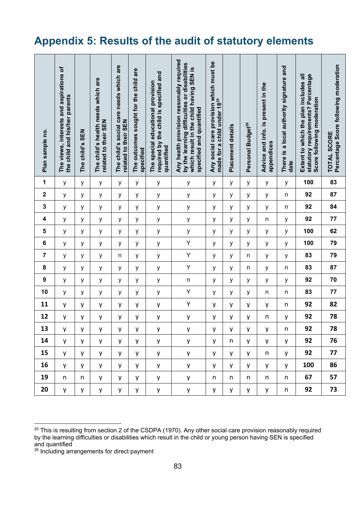## **Appendix 5: Results of the audit of statutory elements**

| Plan sample no.  | The views, interests and aspirations of<br>the child and his/her parents | The child's SEN | The child's health needs which are<br>related to their SEN | The child's social care needs which are<br>related to their SEN | The outcomes sought for the child are<br>specified | required by the child is specified and<br>The special educational provision<br>quantified | Any health provision reasonably required<br>by the learning difficulties or disabilities<br>which result in the child having SEN is<br>specified and quantified | Any social care provision which must be<br>made for a child under 18 <sup>25</sup> | Placement details | Personal Budget <sup>26</sup> | Advice and info. is present in the<br>appendices | There is a local authority signature and<br>date | statutory requirements? Percentage<br>Extent to which the plan includes all<br>Score following moderation | Percentage Score following moderation<br><b>TOTAL SCORE</b> |
|------------------|--------------------------------------------------------------------------|-----------------|------------------------------------------------------------|-----------------------------------------------------------------|----------------------------------------------------|-------------------------------------------------------------------------------------------|-----------------------------------------------------------------------------------------------------------------------------------------------------------------|------------------------------------------------------------------------------------|-------------------|-------------------------------|--------------------------------------------------|--------------------------------------------------|-----------------------------------------------------------------------------------------------------------|-------------------------------------------------------------|
| 1                | у                                                                        | у               | у                                                          | y                                                               | у                                                  | у                                                                                         | у                                                                                                                                                               | У                                                                                  | У                 | y                             | У                                                | У                                                | 100                                                                                                       | 83                                                          |
| $\mathbf 2$      | у                                                                        | у               | у                                                          | у                                                               | у                                                  | у                                                                                         | у                                                                                                                                                               | у                                                                                  | у                 | у                             | у                                                | n                                                | 92                                                                                                        | 87                                                          |
| 3                | у                                                                        | у               | у                                                          | у                                                               | у                                                  | У                                                                                         | у                                                                                                                                                               | У                                                                                  | у                 | у                             | У                                                | n                                                | 92                                                                                                        | 84                                                          |
| 4                | У                                                                        | у               | У                                                          | у                                                               | у                                                  | у                                                                                         | у                                                                                                                                                               | У                                                                                  | У                 | У                             | n                                                | у                                                | 92                                                                                                        | 77                                                          |
| 5                | у                                                                        | у               | у                                                          | у                                                               | у                                                  | у                                                                                         | у                                                                                                                                                               | у                                                                                  | у                 | у                             | у                                                | у                                                | 100                                                                                                       | 62                                                          |
| 6                | У                                                                        | у               | у                                                          | у                                                               | у                                                  | у                                                                                         | Υ                                                                                                                                                               | У                                                                                  | у                 | у                             | у                                                | у                                                | 100                                                                                                       | 79                                                          |
| $\overline{7}$   | У                                                                        | у               | у                                                          | n                                                               | у                                                  | у                                                                                         | Υ                                                                                                                                                               | У                                                                                  | У                 | n                             | у                                                | у                                                | 83                                                                                                        | 79                                                          |
| 8                | у                                                                        | У               | у                                                          | у                                                               | у                                                  | У                                                                                         | Υ                                                                                                                                                               | у                                                                                  | у                 | n                             | у                                                | n                                                | 83                                                                                                        | 87                                                          |
| $\boldsymbol{9}$ | у                                                                        | у               | у                                                          | у                                                               | у                                                  | у                                                                                         | $\mathsf{n}$                                                                                                                                                    | У                                                                                  | у                 | у                             | у                                                | у                                                | 92                                                                                                        | 70                                                          |
| 10               | У                                                                        | у               | у                                                          | у                                                               | y                                                  | у                                                                                         | Υ                                                                                                                                                               | У                                                                                  | у                 | у                             | n                                                | n                                                | 83                                                                                                        | 77                                                          |
| 11               | у                                                                        | у               | у                                                          | у                                                               | y                                                  | у                                                                                         | Υ                                                                                                                                                               | у                                                                                  | y                 | у                             | y                                                | n                                                | 92                                                                                                        | 82                                                          |
| 12               | y                                                                        | y               | у                                                          | y                                                               | y                                                  | y                                                                                         | y                                                                                                                                                               | у                                                                                  | у                 | y                             | n                                                | у                                                | 92                                                                                                        | 78                                                          |
| 13               | у                                                                        | y               | y                                                          | у                                                               | y                                                  | y                                                                                         | у                                                                                                                                                               | У                                                                                  | y                 | y                             | y                                                | n                                                | 92                                                                                                        | 78                                                          |
| 14               | <b>y</b>                                                                 | y               | y                                                          | y                                                               | y                                                  | y                                                                                         | y                                                                                                                                                               | y                                                                                  | n                 | y                             | y                                                | y                                                | 92                                                                                                        | 76                                                          |
| 15               | y                                                                        | y               | y                                                          | y                                                               | y                                                  | y                                                                                         | y                                                                                                                                                               | y                                                                                  | y                 | y                             | n                                                | y                                                | 92                                                                                                        | 77                                                          |
| 16               | y                                                                        | y               | y                                                          | y                                                               | y                                                  | y                                                                                         | y                                                                                                                                                               | y                                                                                  | y                 | y                             | y                                                | y                                                | 100                                                                                                       | 86                                                          |
| 19               | n                                                                        | n               | y                                                          | y                                                               | y                                                  | y                                                                                         | y                                                                                                                                                               | n                                                                                  | n                 | n                             | n                                                | n                                                | 67                                                                                                        | 57                                                          |
| 20               | y                                                                        | y               | y                                                          | y                                                               | y.                                                 | y                                                                                         | y                                                                                                                                                               | у                                                                                  | y                 | y                             | y                                                | n                                                | 92                                                                                                        | 73                                                          |

<sup>&</sup>lt;sup>25</sup> This is resulting from section 2 of the CSDPA (1970). Any other social care provision reasonably required by the learning difficulties or disabilities which result in the child or young person having SEN is specified and quantified

 $^{\mathrm{26}}$  Including arrangements for direct payment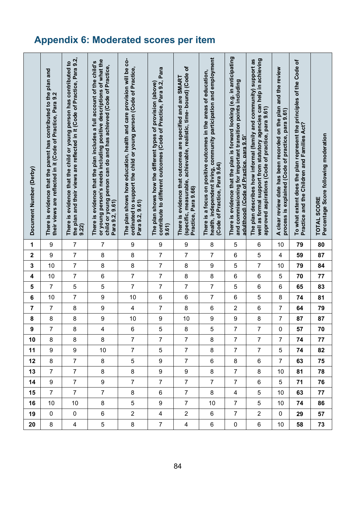# **Appendix 6: Moderated scores per item**

| Document Number (Derby) | There is evidence that the parent has contributed to the plan and<br>their views are reflected in it (Code of Practice, Para 9.2 | the plan and their views are reflected in it (Code of Practice, Para 9.2,<br>There is evidence that the child or young person has contributed to<br>9.22 | or young person's needs including positive descriptions of what the<br>There is evidence that the plan includes a full account of the child's<br>child or young person can do and has achieved (Code of Practice,<br>Para 9.2, 9.61) | The plan shows how education, health and care provision will be co-<br>ordinated to support the child or young person (Code of Practice,<br>Para 9.2, 9.61) | contribute to different outcomes (Code of Practice, Para 9.2, Para<br>The plan shows how the different types of provision (above)<br>9.61 | (specific, measurable, achievable, realistic, time- bound) (Code of<br>There is evidence that outcomes are specified and are SMART<br>Practice, Para 9.66) | health, independent living, community participation and employment<br>There is a focus on positive outcomes in the areas of education,<br>(Code of Practice, Para 9.64) | There is evidence that the plan is forward looking (e.g. in anticipating<br>and commissioning for important transition points including<br>adulthood) (Code of Practice. para 9.5)' | well as formal support from statutory agencies can help in achieving<br>The plan describes how informal (family and community) support as<br>approved aspirations (Code of practice, para 9.61) | A clear review date has been recorded on the plan and the review<br>process is explained (Code of practice, para 9.61) | To what extent does the plan represent the principles of the Code of<br>Practice and the Children and Families Act? | Percentage Score following moderation<br><b>TOTAL SCORE</b> |
|-------------------------|----------------------------------------------------------------------------------------------------------------------------------|----------------------------------------------------------------------------------------------------------------------------------------------------------|--------------------------------------------------------------------------------------------------------------------------------------------------------------------------------------------------------------------------------------|-------------------------------------------------------------------------------------------------------------------------------------------------------------|-------------------------------------------------------------------------------------------------------------------------------------------|------------------------------------------------------------------------------------------------------------------------------------------------------------|-------------------------------------------------------------------------------------------------------------------------------------------------------------------------|-------------------------------------------------------------------------------------------------------------------------------------------------------------------------------------|-------------------------------------------------------------------------------------------------------------------------------------------------------------------------------------------------|------------------------------------------------------------------------------------------------------------------------|---------------------------------------------------------------------------------------------------------------------|-------------------------------------------------------------|
| 1                       | 9                                                                                                                                | $\boldsymbol{7}$                                                                                                                                         | $\overline{7}$                                                                                                                                                                                                                       | $\boldsymbol{9}$                                                                                                                                            | 9                                                                                                                                         | $\boldsymbol{9}$                                                                                                                                           | 8                                                                                                                                                                       | 5                                                                                                                                                                                   | 6                                                                                                                                                                                               | 10                                                                                                                     | 79                                                                                                                  | 80                                                          |
| $\mathbf 2$             | $\boldsymbol{9}$                                                                                                                 | $\overline{7}$                                                                                                                                           | 8                                                                                                                                                                                                                                    | 8                                                                                                                                                           | $\overline{7}$                                                                                                                            | $\overline{7}$                                                                                                                                             | $\overline{7}$                                                                                                                                                          | 6                                                                                                                                                                                   | 5                                                                                                                                                                                               | 4                                                                                                                      | 59                                                                                                                  | 87                                                          |
| $\mathbf 3$             | 10                                                                                                                               | $\overline{7}$                                                                                                                                           | 8                                                                                                                                                                                                                                    | 8                                                                                                                                                           | $\overline{7}$                                                                                                                            | 8                                                                                                                                                          | 9                                                                                                                                                                       | 5                                                                                                                                                                                   | $\overline{7}$                                                                                                                                                                                  | 10                                                                                                                     | 79                                                                                                                  | 84                                                          |
| 4                       | 10                                                                                                                               | $\boldsymbol{7}$                                                                                                                                         | 6                                                                                                                                                                                                                                    | $\overline{\mathcal{I}}$                                                                                                                                    | $\overline{7}$                                                                                                                            | 8                                                                                                                                                          | 8                                                                                                                                                                       | 6                                                                                                                                                                                   | 6                                                                                                                                                                                               | 5                                                                                                                      | 70                                                                                                                  | 77                                                          |
| $\sqrt{5}$              | $\overline{7}$                                                                                                                   | 5                                                                                                                                                        | 5                                                                                                                                                                                                                                    | $\overline{7}$                                                                                                                                              | $\overline{7}$                                                                                                                            | $\overline{7}$                                                                                                                                             | $\overline{7}$                                                                                                                                                          | 5                                                                                                                                                                                   | 6                                                                                                                                                                                               | 6                                                                                                                      | 65                                                                                                                  | 83                                                          |
| $\bf 6$                 | 10                                                                                                                               | $\boldsymbol{7}$                                                                                                                                         | 9                                                                                                                                                                                                                                    | 10                                                                                                                                                          | $\,6$                                                                                                                                     | 6                                                                                                                                                          | $\boldsymbol{7}$                                                                                                                                                        | 6                                                                                                                                                                                   | 5                                                                                                                                                                                               | 8                                                                                                                      | 74                                                                                                                  | 81                                                          |
| $\overline{\mathbf{7}}$ | $\boldsymbol{7}$                                                                                                                 | 8                                                                                                                                                        | 9                                                                                                                                                                                                                                    | $\overline{\mathbf{4}}$                                                                                                                                     | $\boldsymbol{7}$                                                                                                                          | 8                                                                                                                                                          | 6                                                                                                                                                                       | $\boldsymbol{2}$                                                                                                                                                                    | 6                                                                                                                                                                                               | 7                                                                                                                      | 64                                                                                                                  | 79                                                          |
| 8                       | 8                                                                                                                                | 8                                                                                                                                                        | 9                                                                                                                                                                                                                                    | 10                                                                                                                                                          | 9                                                                                                                                         | 10                                                                                                                                                         | $\overline{9}$                                                                                                                                                          | 9                                                                                                                                                                                   | 8                                                                                                                                                                                               | $\overline{7}$                                                                                                         | 87                                                                                                                  | 87                                                          |
| 9                       | $\overline{7}$                                                                                                                   | 8                                                                                                                                                        | 4                                                                                                                                                                                                                                    | 6                                                                                                                                                           | 5                                                                                                                                         | 8                                                                                                                                                          | 5                                                                                                                                                                       | $\overline{7}$                                                                                                                                                                      | 7                                                                                                                                                                                               | $\mathbf 0$                                                                                                            | 57                                                                                                                  | 70                                                          |
| 10                      | 8                                                                                                                                | 8                                                                                                                                                        | 8                                                                                                                                                                                                                                    | $\overline{7}$                                                                                                                                              | $\overline{7}$                                                                                                                            | $\overline{7}$                                                                                                                                             | 8                                                                                                                                                                       | $\overline{7}$                                                                                                                                                                      | $\overline{7}$                                                                                                                                                                                  | $\overline{7}$                                                                                                         | 74                                                                                                                  | 77                                                          |
| 11                      | 9                                                                                                                                | 9                                                                                                                                                        | 10 <sup>°</sup>                                                                                                                                                                                                                      | $\overline{7}$                                                                                                                                              | 5                                                                                                                                         | $\overline{7}$                                                                                                                                             | 8                                                                                                                                                                       | $\overline{7}$                                                                                                                                                                      | $\overline{7}$                                                                                                                                                                                  | 5                                                                                                                      | 74                                                                                                                  | 82                                                          |
| 12                      | 8                                                                                                                                | $\overline{7}$                                                                                                                                           | 8                                                                                                                                                                                                                                    | 5                                                                                                                                                           | 9                                                                                                                                         | $\overline{7}$                                                                                                                                             | 6                                                                                                                                                                       | 8                                                                                                                                                                                   | 6                                                                                                                                                                                               | $\overline{7}$                                                                                                         | 63                                                                                                                  | 75                                                          |
| 13                      | $\overline{7}$                                                                                                                   | $\overline{7}$                                                                                                                                           | 8                                                                                                                                                                                                                                    | 8                                                                                                                                                           | $\boldsymbol{9}$                                                                                                                          | 9                                                                                                                                                          | 8                                                                                                                                                                       | $\overline{7}$                                                                                                                                                                      | 8                                                                                                                                                                                               | 10                                                                                                                     | 81                                                                                                                  | 78                                                          |
| 14                      | 9                                                                                                                                | $\overline{7}$                                                                                                                                           | $9\,$                                                                                                                                                                                                                                | $\overline{7}$                                                                                                                                              | $\overline{7}$                                                                                                                            | $\overline{7}$                                                                                                                                             | $\overline{7}$                                                                                                                                                          | $\overline{7}$                                                                                                                                                                      | $6\phantom{a}$                                                                                                                                                                                  | 5                                                                                                                      | 71                                                                                                                  | 76                                                          |
| 15                      | $\overline{7}$                                                                                                                   | $\overline{7}$                                                                                                                                           | $\overline{7}$                                                                                                                                                                                                                       | 8                                                                                                                                                           | 6                                                                                                                                         | $\overline{7}$                                                                                                                                             | 8                                                                                                                                                                       | $\overline{4}$                                                                                                                                                                      | 5                                                                                                                                                                                               | 10                                                                                                                     | 63                                                                                                                  | 77                                                          |
| 16                      | 10                                                                                                                               | 10                                                                                                                                                       | 8                                                                                                                                                                                                                                    | 5                                                                                                                                                           | 9                                                                                                                                         | $\overline{7}$                                                                                                                                             | 10                                                                                                                                                                      | $\overline{7}$                                                                                                                                                                      | 5                                                                                                                                                                                               | 10                                                                                                                     | 74                                                                                                                  | 86                                                          |
| 19                      | $\mathbf 0$                                                                                                                      | 0                                                                                                                                                        | 6                                                                                                                                                                                                                                    | $\overline{2}$                                                                                                                                              | 4                                                                                                                                         | $\overline{2}$                                                                                                                                             | 6                                                                                                                                                                       | $\overline{7}$                                                                                                                                                                      | $\overline{2}$                                                                                                                                                                                  | 0                                                                                                                      | 29                                                                                                                  | 57                                                          |
| 20                      | 8                                                                                                                                | 4                                                                                                                                                        | $\mathbf 5$                                                                                                                                                                                                                          | 8                                                                                                                                                           | $\overline{7}$                                                                                                                            | 4                                                                                                                                                          | 6                                                                                                                                                                       | $\mathbf 0$                                                                                                                                                                         | 6                                                                                                                                                                                               | 10                                                                                                                     | 58                                                                                                                  | 73                                                          |